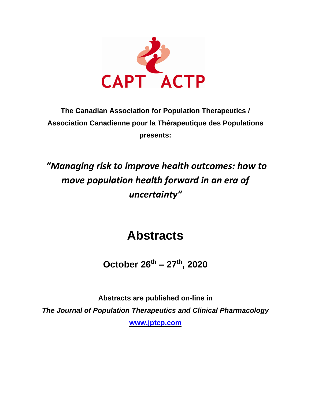

# **The Canadian Association for Population Therapeutics / Association Canadienne pour la Thérapeutique des Populations presents:**

# *"Managing risk to improve health outcomes: how to move population health forward in an era of uncertainty"*

# **Abstracts**

**October 26th – 27th , 2020**

**Abstracts are published on-line in** *The Journal of Population Therapeutics and Clinical Pharmacology* **[www.jptcp.com](http://www.jptcp.com/)**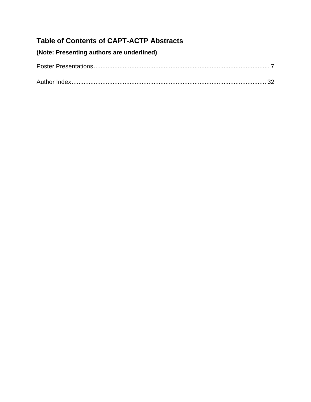# **Table of Contents of CAPT-ACTP Abstracts**

# **(Note: Presenting authors are underlined)**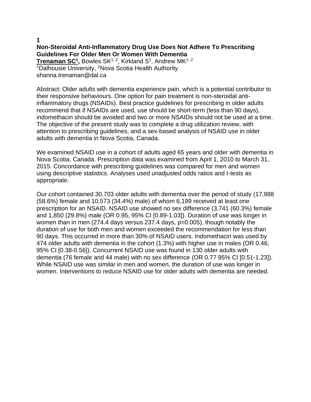#### **1 Non-Steroidal Anti-Inflammatory Drug Use Does Not Adhere To Prescribing Guidelines For Older Men Or Women With Dementia Trenaman SC<sup>1</sup>, Bowles SK<sup>1, 2</sup>, Kirkland S<sup>1</sup>, Andrew MK<sup>1, 2</sup>** <sup>1</sup>Dalhousie University, <sup>2</sup>Nova Scotia Health Authority shanna.trenaman@dal.ca

Abstract: Older adults with dementia experience pain, which is a potential contributor to their responsive behaviours. One option for pain treatment is non-steroidal antiinflammatory drugs (NSAIDs). Best practice guidelines for prescribing in older adults recommend that if NSAIDs are used, use should be short-term (less than 90 days), indomethacin should be avoided and two or more NSAIDs should not be used at a time. The objective of the present study was to complete a drug utilization review, with attention to prescribing guidelines, and a sex-based analysis of NSAID use in older adults with dementia in Nova Scotia, Canada.

We examined NSAID use in a cohort of adults aged 65 years and older with dementia in Nova Scotia, Canada. Prescription data was examined from April 1, 2010 to March 31, 2015. Concordance with prescribing guidelines was compared for men and women using descriptive statistics. Analyses used unadjusted odds ratios and t-tests as appropriate.

Our cohort contained 30,703 older adults with dementia over the period of study (17,988 (58.6%) female and 10,573 (34.4%) male) of whom 6,199 received at least one prescription for an NSAID. NSAID use showed no sex difference (3,741 (60.3%) female and 1,850 (29.8%) male (OR 0.95, 95% CI [0.89-1.03]). Duration of use was longer in women than in men (274.4 days versus 237.4 days, p=0.005), though notably the duration of use for both men and women exceeded the recommendation for less than 90 days. This occurred in more than 30% of NSAID users. Indomethacin was used by 474 older adults with dementia in the cohort (1.3%) with higher use in males (OR 0.46, 95% CI [0.38-0.56]). Concurrent NSAID use was found in 130 older adults with dementia (76 female and 44 male) with no sex difference (OR 0.77 95% CI [0.51-1.23]). While NSAID use was similar in men and women, the duration of use was longer in women. Interventions to reduce NSAID use for older adults with dementia are needed.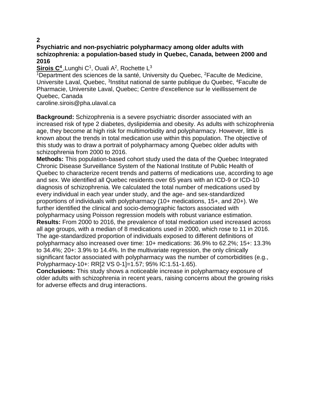# **Psychiatric and non-psychiatric polypharmacy among older adults with schizophrenia: a population-based study in Quebec, Canada, between 2000 and 2016**

# Sirois C<sup>4</sup>, Lunghi C<sup>1</sup>, Ouali A<sup>2</sup>, Rochette L<sup>3</sup>

<sup>1</sup>Department des sciences de la santé, University du Quebec, <sup>2</sup>Faculte de Medicine, Universite Laval, Quebec, <sup>3</sup>Institut national de sante publique du Quebec, <sup>4</sup>Faculte de Pharmacie, Universite Laval, Quebec; Centre d'excellence sur le vieillissement de Quebec, Canada

caroline.sirois@pha.ulaval.ca

**Background:** Schizophrenia is a severe psychiatric disorder associated with an increased risk of type 2 diabetes, dyslipidemia and obesity. As adults with schizophrenia age, they become at high risk for multimorbidity and polypharmacy. However, little is known about the trends in total medication use within this population. The objective of this study was to draw a portrait of polypharmacy among Quebec older adults with schizophrenia from 2000 to 2016.

**Methods:** This population-based cohort study used the data of the Quebec Integrated Chronic Disease Surveillance System of the National Institute of Public Health of Quebec to characterize recent trends and patterns of medications use, according to age and sex. We identified all Quebec residents over 65 years with an ICD-9 or ICD-10 diagnosis of schizophrenia. We calculated the total number of medications used by every individual in each year under study, and the age- and sex-standardized proportions of individuals with polypharmacy (10+ medications, 15+, and 20+). We further identified the clinical and socio-demographic factors associated with polypharmacy using Poisson regression models with robust variance estimation. **Results:** From 2000 to 2016, the prevalence of total medication used increased across all age groups, with a median of 8 medications used in 2000, which rose to 11 in 2016. The age-standardized proportion of individuals exposed to different definitions of polypharmacy also increased over time: 10+ medications: 36.9% to 62.2%; 15+: 13.3% to 34.4%; 20+: 3.9% to 14.4%. In the multivariate regression, the only clinically significant factor associated with polypharmacy was the number of comorbidities (e.g., Polypharmacy-10+: RR[2 VS 0-1]=1.57; 95% IC:1.51-1.65).

**Conclusions:** This study shows a noticeable increase in polypharmacy exposure of older adults with schizophrenia in recent years, raising concerns about the growing risks for adverse effects and drug interactions.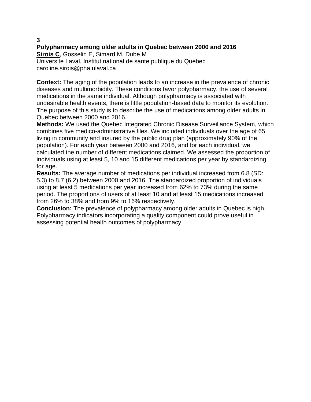# **Polypharmacy among older adults in Quebec between 2000 and 2016 Sirois C**, Gosselin E, Simard M, Dube M Universite Laval, Institut national de sante publique du Quebec caroline.sirois@pha.ulaval.ca

**Context:** The aging of the population leads to an increase in the prevalence of chronic diseases and multimorbidity. These conditions favor polypharmacy, the use of several medications in the same individual. Although polypharmacy is associated with undesirable health events, there is little population-based data to monitor its evolution. The purpose of this study is to describe the use of medications among older adults in Quebec between 2000 and 2016.

**Methods:** We used the Quebec Integrated Chronic Disease Surveillance System, which combines five medico-administrative files. We included individuals over the age of 65 living in community and insured by the public drug plan (approximately 90% of the population). For each year between 2000 and 2016, and for each individual, we calculated the number of different medications claimed. We assessed the proportion of individuals using at least 5, 10 and 15 different medications per year by standardizing for age.

**Results:** The average number of medications per individual increased from 6.8 (SD: 5.3) to 8.7 (6.2) between 2000 and 2016. The standardized proportion of individuals using at least 5 medications per year increased from 62% to 73% during the same period. The proportions of users of at least 10 and at least 15 medications increased from 26% to 38% and from 9% to 16% respectively.

**Conclusion:** The prevalence of polypharmacy among older adults in Quebec is high. Polypharmacy indicators incorporating a quality component could prove useful in assessing potential health outcomes of polypharmacy.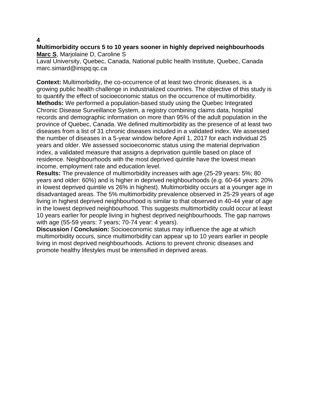# **Multimorbidity occurs 5 to 10 years sooner in highly deprived neighbourhoods Marc S**, Marjolaine D, Caroline S

Laval University, Quebec, Canada, National public health Institute, Quebec, Canada marc.simard@inspq.qc.ca

**Context:** Multimorbidity, the co-occurrence of at least two chronic diseases, is a growing public health challenge in industrialized countries. The objective of this study is to quantify the effect of socioeconomic status on the occurrence of multimorbidity. **Methods:** We performed a population-based study using the Quebec Integrated Chronic Disease Surveillance System, a registry combining claims data, hospital records and demographic information on more than 95% of the adult population in the province of Quebec, Canada. We defined multimorbidity as the presence of at least two diseases from a list of 31 chronic diseases included in a validated index. We assessed the number of diseases in a 5-year window before April 1, 2017 for each individual 25 years and older. We assessed socioeconomic status using the material deprivation index, a validated measure that assigns a deprivation quintile based on place of residence. Neighbourhoods with the most deprived quintile have the lowest mean income, employment rate and education level.

**Results:** The prevalence of multimorbidity increases with age (25-29 years: 5%; 80 years and older: 60%) and is higher in deprived neighbourhoods (e.g. 60-64 years: 20% in lowest deprived quintile vs 26% in highest). Multimorbidity occurs at a younger age in disadvantaged areas. The 5% multimorbidity prevalence observed in 25-29 years of age living in highest deprived neighbourhood is similar to that observed in 40-44 year of age in the lowest deprived neighbourhood. This suggests multimorbidity could occur at least 10 years earlier for people living in highest deprived neighbourhoods. The gap narrows with age (55-59 years: 7 years; 70-74 year: 4 years).

**Discussion / Conclusion:** Socioeconomic status may influence the age at which multimorbidity occurs, since multimorbidity can appear up to 10 years earlier in people living in most deprived neighbourhoods. Actions to prevent chronic diseases and promote healthy lifestyles must be intensified in deprived areas.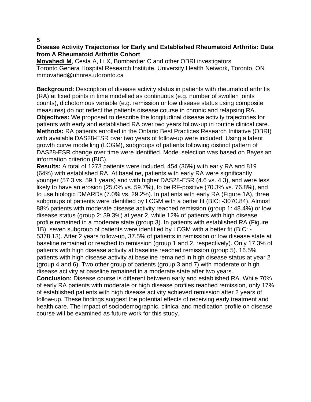# **Disease Activity Trajectories for Early and Established Rheumatoid Arthritis: Data from A Rheumatoid Arthritis Cohort**

**Movahedi M**, Cesta A, Li X, Bombardier C and other OBRI investigators Toronto Genera Hospital Research Institute, University Health Network, Toronto, ON mmovahed@uhnres.utoronto.ca

**Background:** Description of disease activity status in patients with rheumatoid arthritis (RA) at fixed points in time modelled as continuous (e.g. number of swollen joints counts), dichotomous variable (e.g. remission or low disease status using composite measures) do not reflect the patients disease course in chronic and relapsing RA. **Objectives:** We proposed to describe the longitudinal disease activity trajectories for patients with early and established RA over two years follow-up in routine clinical care. **Methods:** RA patients enrolled in the Ontario Best Practices Research Initiative (OBRI) with available DAS28-ESR over two years of follow-up were included. Using a latent growth curve modelling (LCGM), subgroups of patients following distinct pattern of DAS28-ESR change over time were identified. Model selection was based on Bayesian information criterion (BIC).

**Results:** A total of 1273 patients were included, 454 (36%) with early RA and 819 (64%) with established RA. At baseline, patients with early RA were significantly younger (57.3 vs. 59.1 years) and with higher DAS28-ESR (4.6 vs. 4.3), and were less likely to have an erosion (25.0% vs. 59.7%), to be RF-positive (70.3% vs. 76.8%), and to use biologic DMARDs (7.0% vs. 29.2%). In patients with early RA (Figure 1A), three subgroups of patients were identified by LCGM with a better fit (BIC: -3070.84). Almost 88% patients with moderate disease activity reached remission (group 1: 48.4%) or low disease status (group 2: 39.3%) at year 2, while 12% of patients with high disease profile remained in a moderate state (group 3). In patients with established RA (Figure 1B), seven subgroup of patients were identified by LCGM with a better fit (BIC: - 5378.13). After 2 years follow-up, 37.5% of patients in remission or low disease state at baseline remained or reached to remission (group 1 and 2, respectively). Only 17.3% of patients with high disease activity at baseline reached remission (group 5). 16.5% patients with high disease activity at baseline remained in high disease status at year 2 (group 4 and 6). Two other group of patients (group 3 and 7) with moderate or high disease activity at baseline remained in a moderate state after two years.

**Conclusion:** Disease course is different between early and established RA. While 70% of early RA patients with moderate or high disease profiles reached remission, only 17% of established patients with high disease activity achieved remission after 2 years of follow-up. These findings suggest the potential effects of receiving early treatment and health care. The impact of sociodemographic, clinical and medication profile on disease course will be examined as future work for this study.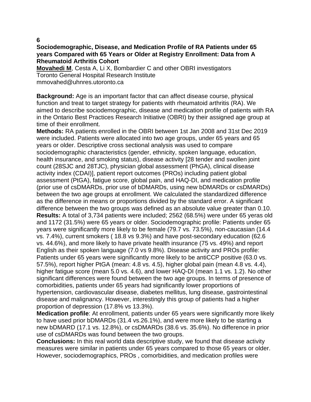# **Sociodemographic, Disease, and Medication Profile of RA Patients under 65 years Compared with 65 Years or Older at Registry Enrollment: Data from A Rheumatoid Arthritis Cohort**

**Movahedi M**, Cesta A, Li X, Bombardier C and other OBRI investigators Toronto General Hospital Research Institute mmovahed@uhnres.utoronto.ca

**Background:** Age is an important factor that can affect disease course, physical function and treat to target strategy for patients with rheumatoid arthritis (RA). We aimed to describe sociodemographic, disease and medication profile of patients with RA in the Ontario Best Practices Research Initiative (OBRI) by their assigned age group at time of their enrollment.

**Methods:** RA patients enrolled in the OBRI between 1st Jan 2008 and 31st Dec 2019 were included. Patients were allocated into two age groups, under 65 years and 65 years or older. Descriptive cross sectional analysis was used to compare sociodemographic characteristics (gender, ethnicity, spoken language, education, health insurance, and smoking status), disease activity [28 tender and swollen joint count (28SJC and 28TJC), physician global assessment (PhGA), clinical disease activity index (CDAI)], patient report outcomes (PROs) including patient global assessment (PtGA), fatigue score, global pain, and HAQ-DI, and medication profile (prior use of csDMARDs, prior use of bDMARDs, using new bDMARDs or csDMARDs) between the two age groups at enrollment. We calculated the standardized difference as the difference in means or proportions divided by the standard error. A significant difference between the two groups was defined as an absolute value greater than 0.10. **Results:** A total of 3,734 patients were included; 2562 (68.5%) were under 65 yeras old and 1172 (31.5%) were 65 years or older. Sociodemographic profile: Patients under 65 years were significantly more likely to be female (79.7 vs. 73.5%), non-caucasian (14.4 vs. 7.4%), current smokers ( 18.8 vs 9.3%) and have post-secondary education (62.6 vs. 44.6%), and more likely to have private health insurance (75 vs. 49%) and report English as their spoken language (7.0 vs 9.8%). Disease activity and PROs profile: Patients under 65 years were significantly more likely to be antiCCP positive (63.0 vs. 57.5%), report higher PtGA (mean: 4.8 vs. 4.5), higher global pain (mean 4.8 vs. 4.4), higher fatigue score (mean 5.0 vs. 4.6), and lower HAQ-DI (mean 1.1 vs. 1.2). No other significant differences were found between the two age groups. In terms of presence of comorbidities, patients under 65 years had significantly lower proportions of hypertension, cardiovascular disease, diabetes mellitus, lung disease, gastrointestinal disease and malignancy. However, interestingly this group of patients had a higher proportion of depression (17.8% vs 13.3%).

**Medication profile**: At enrollment, patients under 65 years were significantly more likely to have used prior bDMARDs (31.4 vs.26.1%), and were more likely to be starting a new bDMARD (17.1 vs. 12.8%), or csDMARDs (38.6 vs. 35.6%). No difference in prior use of csDMARDs was found between the two groups.

**Conclusions:** In this real world data descriptive study, we found that disease activity measures were similar in patients under 65 years compared to those 65 years or older. However, sociodemographics, PROs , comorbidities, and medication profiles were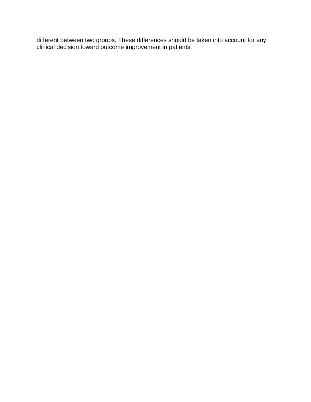different between two groups. These differences should be taken into account for any clinical decision toward outcome improvement in patients.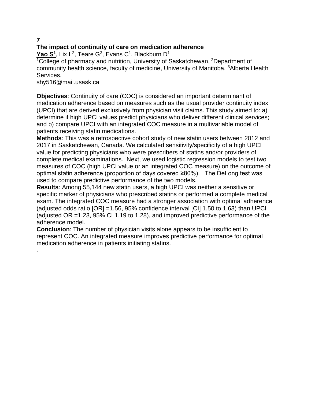.

# **The impact of continuity of care on medication adherence**

**Yao S<sup>1</sup>** , Lix L<sup>2</sup> , Teare G<sup>3</sup> , Evans C<sup>1</sup> , Blackburn D<sup>1</sup>

<sup>1</sup>College of pharmacy and nutrition, University of Saskatchewan, <sup>2</sup>Department of community health science, faculty of medicine, University of Manitoba, <sup>3</sup>Alberta Health Services.

shy516@mail.usask.ca

**Objectives**: Continuity of care (COC) is considered an important determinant of medication adherence based on measures such as the usual provider continuity index (UPCI) that are derived exclusively from physician visit claims. This study aimed to: a) determine if high UPCI values predict physicians who deliver different clinical services; and b) compare UPCI with an integrated COC measure in a multivariable model of patients receiving statin medications.

**Methods**: This was a retrospective cohort study of new statin users between 2012 and 2017 in Saskatchewan, Canada. We calculated sensitivity/specificity of a high UPCI value for predicting physicians who were prescribers of statins and/or providers of complete medical examinations. Next, we used logistic regression models to test two measures of COC (high UPCI value or an integrated COC measure) on the outcome of optimal statin adherence (proportion of days covered ≥80%). The DeLong test was used to compare predictive performance of the two models.

**Results**: Among 55,144 new statin users, a high UPCI was neither a sensitive or specific marker of physicians who prescribed statins or performed a complete medical exam. The integrated COC measure had a stronger association with optimal adherence (adjusted odds ratio [OR] =1.56, 95% confidence interval [CI] 1.50 to 1.63) than UPCI (adjusted OR =1.23, 95% CI 1.19 to 1.28), and improved predictive performance of the adherence model.

**Conclusion**: The number of physician visits alone appears to be insufficient to represent COC. An integrated measure improves predictive performance for optimal medication adherence in patients initiating statins.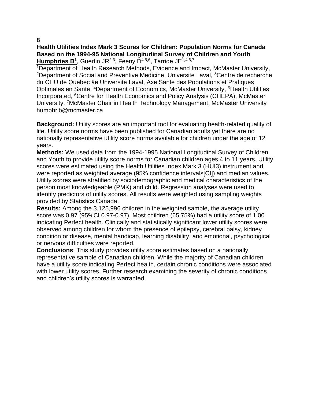**Health Utilities Index Mark 3 Scores for Children: Population Norms for Canada Based on the 1994-95 National Longitudinal Survey of Children and Youth** Humphries B<sup>1</sup>, Guertin JR<sup>2,3</sup>, Feeny D<sup>4,5,6</sup>, Tarride JE<sup>1,4,6,7</sup>

<sup>1</sup>Department of Health Research Methods, Evidence and Impact, McMaster University, <sup>2</sup>Department of Social and Preventive Medicine, Universite Laval, <sup>3</sup>Centre de recherche du CHU de Quebec âe Universite Laval, Axe Sante des Populations et Pratiques Optimales en Sante, <sup>4</sup>Department of Economics, McMaster University, <sup>5</sup>Health Utilities Incorporated, <sup>6</sup>Centre for Health Economics and Policy Analysis (CHEPA), McMaster University, <sup>7</sup>McMaster Chair in Health Technology Management, McMaster University humphrib@mcmaster.ca

**Background:** Utility scores are an important tool for evaluating health-related quality of life. Utility score norms have been published for Canadian adults yet there are no nationally representative utility score norms available for children under the age of 12 years.

**Methods:** We used data from the 1994-1995 National Longitudinal Survey of Children and Youth to provide utility score norms for Canadian children ages 4 to 11 years. Utility scores were estimated using the Health Utilities Index Mark 3 (HUI3) instrument and were reported as weighted average (95% confidence intervals[CI]) and median values. Utility scores were stratified by sociodemographic and medical characteristics of the person most knowledgeable (PMK) and child. Regression analyses were used to identify predictors of utility scores. All results were weighted using sampling weights provided by Statistics Canada.

**Results:** Among the 3,125,996 children in the weighted sample, the average utility score was 0.97 (95%CI 0.97-0.97). Most children (65.75%) had a utility score of 1.00 indicating Perfect health. Clinically and statistically significant lower utility scores were observed among children for whom the presence of epilepsy, cerebral palsy, kidney condition or disease, mental handicap, learning disability, and emotional, psychological or nervous difficulties were reported.

**Conclusions**: This study provides utility score estimates based on a nationally representative sample of Canadian children. While the majority of Canadian children have a utility score indicating Perfect health, certain chronic conditions were associated with lower utility scores. Further research examining the severity of chronic conditions and children's utility scores is warranted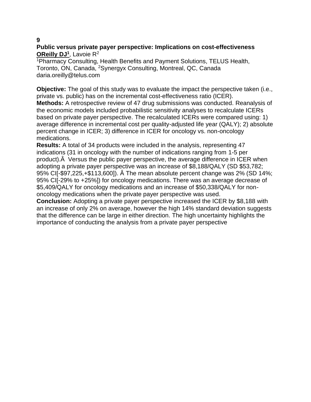# **Public versus private payer perspective: Implications on cost-effectiveness OReilly DJ<sup>1</sup>** , Lavoie R<sup>2</sup>

<sup>1</sup>Pharmacy Consulting, Health Benefits and Payment Solutions, TELUS Health, Toronto, ON, Canada, <sup>2</sup>Synergyx Consulting, Montreal, QC, Canada daria.oreilly@telus.com

**Objective:** The goal of this study was to evaluate the impact the perspective taken (i.e., private vs. public) has on the incremental cost-effectiveness ratio (ICER). **Methods:** A retrospective review of 47 drug submissions was conducted. Reanalysis of the economic models included probabilistic sensitivity analyses to recalculate ICERs based on private payer perspective. The recalculated ICERs were compared using: 1) average difference in incremental cost per quality-adjusted life year (QALY); 2) absolute percent change in ICER; 3) difference in ICER for oncology vs. non-oncology medications.

**Results:** A total of 34 products were included in the analysis, representing 47 indications (31 in oncology with the number of indications ranging from 1-5 per product).Â Versus the public payer perspective, the average difference in ICER when adopting a private payer perspective was an increase of \$8,188/QALY (SD \$53,782; 95% CI[-\$97,225,+\$113,600]). Â The mean absolute percent change was 2% (SD 14%; 95% CI[-29% to +25%]) for oncology medications. There was an average decrease of \$5,409/QALY for oncology medications and an increase of \$50,338/QALY for nononcology medications when the private payer perspective was used.

**Conclusion:** Adopting a private payer perspective increased the ICER by \$8,188 with an increase of only 2% on average, however the high 14% standard deviation suggests that the difference can be large in either direction. The high uncertainty highlights the importance of conducting the analysis from a private payer perspective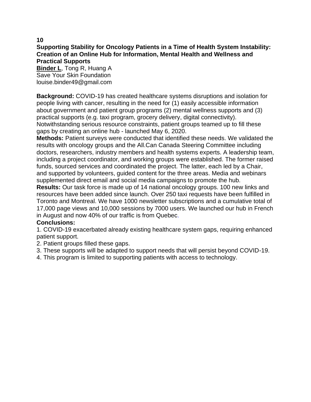**Supporting Stability for Oncology Patients in a Time of Health System Instability: Creation of an Online Hub for Information, Mental Health and Wellness and Practical Supports**

**Binder L**, Tong R, Huang A Save Your Skin Foundation louise.binder49@gmail.com

**Background:** COVID-19 has created healthcare systems disruptions and isolation for people living with cancer, resulting in the need for (1) easily accessible information about government and patient group programs (2) mental wellness supports and (3) practical supports (e.g. taxi program, grocery delivery, digital connectivity). Notwithstanding serious resource constraints, patient groups teamed up to fill these gaps by creating an online hub - launched May 6, 2020.

**Methods:** Patient surveys were conducted that identified these needs. We validated the results with oncology groups and the All.Can Canada Steering Committee including doctors, researchers, industry members and health systems experts. A leadership team, including a project coordinator, and working groups were established. The former raised funds, sourced services and coordinated the project. The latter, each led by a Chair, and supported by volunteers, guided content for the three areas. Media and webinars supplemented direct email and social media campaigns to promote the hub.

**Results:** Our task force is made up of 14 national oncology groups. 100 new links and resources have been added since launch. Over 250 taxi requests have been fulfilled in Toronto and Montreal. We have 1000 newsletter subscriptions and a cumulative total of 17,000 page views and 10,000 sessions by 7000 users. We launched our hub in French in August and now 40% of our traffic is from Quebec.

# **Conclusions:**

1. COVID-19 exacerbated already existing healthcare system gaps, requiring enhanced patient support.

- 2. Patient groups filled these gaps.
- 3. These supports will be adapted to support needs that will persist beyond COVID-19.
- 4. This program is limited to supporting patients with access to technology.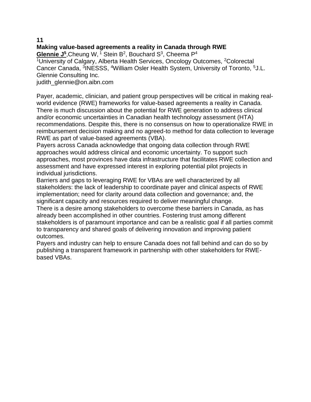**Making value-based agreements a reality in Canada through RWE** Glennie J<sup>5</sup>, Cheung W, <sup>1</sup> Stein B<sup>2</sup>, Bouchard S<sup>3</sup>, Cheema P<sup>4</sup> <sup>1</sup>University of Calgary, Alberta Health Services, Oncology Outcomes, <sup>2</sup>Colorectal Cancer Canada, <sup>3</sup>INESSS, <sup>4</sup>William Osler Health System, University of Toronto, <sup>5</sup>J.L. Glennie Consulting Inc. judith\_glennie@on.aibn.com

Payer, academic, clinician, and patient group perspectives will be critical in making realworld evidence (RWE) frameworks for value-based agreements a reality in Canada. There is much discussion about the potential for RWE generation to address clinical and/or economic uncertainties in Canadian health technology assessment (HTA) recommendations. Despite this, there is no consensus on how to operationalize RWE in reimbursement decision making and no agreed-to method for data collection to leverage RWE as part of value-based agreements (VBA).

Payers across Canada acknowledge that ongoing data collection through RWE approaches would address clinical and economic uncertainty. To support such approaches, most provinces have data infrastructure that facilitates RWE collection and assessment and have expressed interest in exploring potential pilot projects in individual jurisdictions.

Barriers and gaps to leveraging RWE for VBAs are well characterized by all stakeholders: the lack of leadership to coordinate payer and clinical aspects of RWE implementation; need for clarity around data collection and governance; and, the significant capacity and resources required to deliver meaningful change.

There is a desire among stakeholders to overcome these barriers in Canada, as has already been accomplished in other countries. Fostering trust among different stakeholders is of paramount importance and can be a realistic goal if all parties commit to transparency and shared goals of delivering innovation and improving patient outcomes.

Payers and industry can help to ensure Canada does not fall behind and can do so by publishing a transparent framework in partnership with other stakeholders for RWEbased VBAs.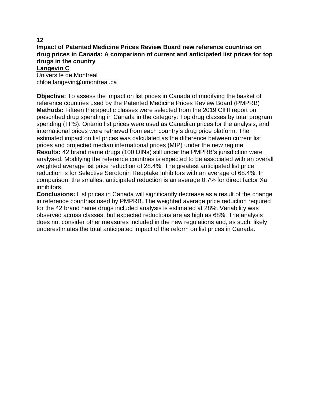#### **Impact of Patented Medicine Prices Review Board new reference countries on drug prices in Canada: A comparison of current and anticipated list prices for top drugs in the country Langevin C**

Universite de Montreal chloe.langevin@umontreal.ca

**Objective:** To assess the impact on list prices in Canada of modifying the basket of reference countries used by the Patented Medicine Prices Review Board (PMPRB) **Methods:** Fifteen therapeutic classes were selected from the 2019 CIHI report on prescribed drug spending in Canada in the category: Top drug classes by total program spending (TPS). Ontario list prices were used as Canadian prices for the analysis, and international prices were retrieved from each country's drug price platform. The estimated impact on list prices was calculated as the difference between current list prices and projected median international prices (MIP) under the new regime. **Results:** 42 brand name drugs (100 DINs) still under the PMPRB's jurisdiction were analysed. Modifying the reference countries is expected to be associated with an overall weighted average list price reduction of 28.4%. The greatest anticipated list price reduction is for Selective Serotonin Reuptake Inhibitors with an average of 68.4%. In comparison, the smallest anticipated reduction is an average 0.7% for direct factor Xa inhibitors.

**Conclusions:** List prices in Canada will significantly decrease as a result of the change in reference countries used by PMPRB. The weighted average price reduction required for the 42 brand name drugs included analysis is estimated at 28%. Variability was observed across classes, but expected reductions are as high as 68%. The analysis does not consider other measures included in the new regulations and, as such, likely underestimates the total anticipated impact of the reform on list prices in Canada.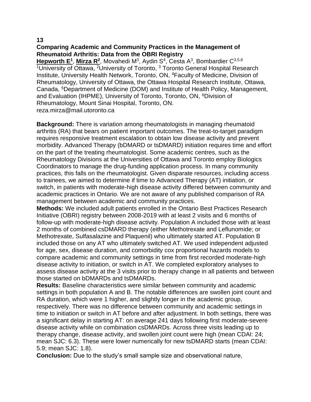# **Comparing Academic and Community Practices in the Management of Rheumatoid Arthritis: Data from the OBRI Registry**

**Hepworth E<sup>1</sup>, Mirza R<sup>2</sup>, Movahedi M<sup>3</sup>, Aydin S<sup>4</sup>, Cesta A<sup>3</sup>, Bombardier C<sup>3,5,6</sup>** <sup>1</sup>University of Ottawa, <sup>2</sup>University of Toronto, <sup>3</sup> Toronto General Hospital Research Institute, University Health Network, Toronto, ON, <sup>4</sup>Faculty of Medicine, Division of Rheumatology, University of Ottawa, the Ottawa Hospital Research Institute, Ottawa, Canada, <sup>5</sup>Department of Medicine (DOM) and Institute of Health Policy, Management, and Evaluation (IHPME), University of Toronto, Toronto, ON, <sup>6</sup>Division of Rheumatology, Mount Sinai Hospital, Toronto, ON. reza.mirza@mail.utoronto.ca

**Background:** There is variation among rheumatologists in managing rheumatoid arthritis (RA) that bears on patient important outcomes. The treat-to-target paradigm requires responsive treatment escalation to obtain low disease activity and prevent morbidity. Advanced Therapy (bDMARD or tsDMARD) initiation requires time and effort on the part of the treating rheumatologist. Some academic centres, such as the Rheumatology Divisions at the Universities of Ottawa and Toronto employ Biologics Coordinators to manage the drug-funding application process. In many community practices, this falls on the rheumatologist. Given disparate resources, including access to trainees, we aimed to determine if time to Advanced Therapy (AT) initiation, or switch, in patients with moderate-high disease activity differed between community and academic practices in Ontario. We are not aware of any published comparison of RA management between academic and community practices.

**Methods:** We included adult patients enrolled in the Ontario Best Practices Research Initiative (OBRI) registry between 2008-2019 with at least 2 visits and 6 months of follow-up with moderate-high disease activity. Population A included those with at least 2 months of combined csDMARD therapy (either Methotrexate and Leflunomide; or Methotrexate, Sulfasalazine and Plaquenil) who ultimately started AT. Population B included those on any AT who ultimately switched AT. We used independent adjusted for age, sex, disease duration, and comorbidity cox proportional hazards models to compare academic and community settings in time from first recorded moderate-high disease activity to initiation, or switch in AT. We completed exploratory analyses to assess disease activity at the 3 visits prior to therapy change in all patients and between those started on bDMARDs and tsDMARDs.

**Results:** Baseline characteristics were similar between community and academic settings in both population A and B. The notable differences are swollen joint count and RA duration, which were 1 higher, and slightly longer in the academic group, respectively. There was no difference between community and academic settings in time to initiation or switch in AT before and after adjustment. In both settings, there was a significant delay in starting AT: on average 241 days following first moderate-severe disease activity while on combination csDMARDs. Across three visits leading up to therapy change, disease activity, and swollen joint count were high (mean CDAI: 24; mean SJC: 6.3). These were lower numerically for new tsDMARD starts (mean CDAI: 5.9; mean SJC: 1.8).

**Conclusion:** Due to the study's small sample size and observational nature,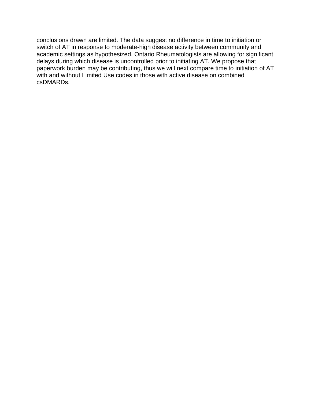conclusions drawn are limited. The data suggest no difference in time to initiation or switch of AT in response to moderate-high disease activity between community and academic settings as hypothesized. Ontario Rheumatologists are allowing for significant delays during which disease is uncontrolled prior to initiating AT. We propose that paperwork burden may be contributing, thus we will next compare time to initiation of AT with and without Limited Use codes in those with active disease on combined csDMARDs.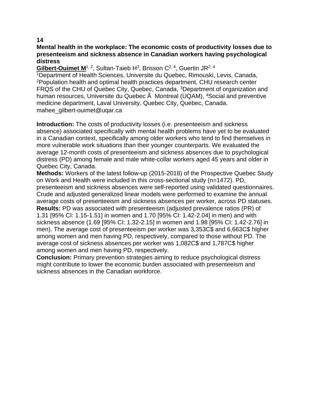# **Mental health in the workplace: The economic costs of productivity losses due to presenteeism and sickness absence in Canadian workers having psychological distress**

Gilbert-Ouimet M<sup>1, 2</sup>, Sultan-Taieb H<sup>3</sup>, Brisson C<sup>2, 4</sup>, Guertin JR<sup>2, 4</sup>

<sup>1</sup>Department of Health Sciences, Universite du Quebec, Rimouski, Levis, Canada, <sup>2</sup>Population health and optimal health practices department, CHU research center FRQS of the CHU of Quebec City, Quebec, Canada, <sup>3</sup>Department of organization and human resources, Universite du Quebec  $\tilde{A}$  Montreal (UQAM), <sup>4</sup>Social and preventive medicine department, Laval University, Quebec City, Quebec, Canada. mahee\_gilbert-ouimet@uqar.ca

**Introduction:** The costs of productivity losses (i.e. presenteeism and sickness absence) associated specifically with mental health problems have yet to be evaluated in a Canadian context, specifically among older workers who tend to find themselves in more vulnerable work situations than their younger counterparts. We evaluated the average 12-month costs of presenteeism and sickness absences due to psychological distress (PD) among female and male white-collar workers aged 45 years and older in Quebec City, Canada.

**Methods:** Workers of the latest follow-up (2015-2018) of the Prospective Quebec Study on Work and Health were included in this cross-sectional study (n=1472). PD, presenteeism and sickness absences were self-reported using validated questionnaires. Crude and adjusted generalized linear models were performed to examine the annual average costs of presenteeism and sickness absences per worker, across PD statuses. **Results:** PD was associated with presenteeism (adjusted prevalence ratios (PR) of 1.31 [95% CI: 1.15-1.51] in women and 1.70 [95% CI: 1.42-2.04] in men) and with sickness absence (1.69 [95% CI: 1.32-2.15] in women and 1.98 [95% CI: 1.42-2.76] in men). The average cost of presenteeism per worker was 3,353C\$ and 6,663C\$ higher among women and men having PD, respectively, compared to those without PD. The average cost of sickness absences per worker was 1,082C\$ and 1,787C\$ higher among women and men having PD, respectively.

**Conclusion:** Primary prevention strategies aiming to reduce psychological distress might contribute to lower the economic burden associated with presenteeism and sickness absences in the Canadian workforce.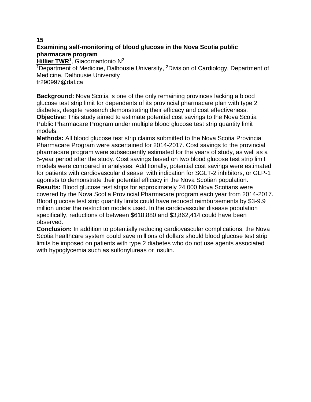# **Examining self-monitoring of blood glucose in the Nova Scotia public pharmacare program**

**Hillier TWR<sup>1</sup>** , Giacomantonio N<sup>2</sup>

<sup>1</sup>Department of Medicine, Dalhousie University, <sup>2</sup>Division of Cardiology, Department of Medicine, Dalhousie University tr290997@dal.ca

**Background:** Nova Scotia is one of the only remaining provinces lacking a blood glucose test strip limit for dependents of its provincial pharmacare plan with type 2 diabetes, despite research demonstrating their efficacy and cost effectiveness. **Objective:** This study aimed to estimate potential cost savings to the Nova Scotia Public Pharmacare Program under multiple blood glucose test strip quantity limit models.

**Methods:** All blood glucose test strip claims submitted to the Nova Scotia Provincial Pharmacare Program were ascertained for 2014-2017. Cost savings to the provincial pharmacare program were subsequently estimated for the years of study, as well as a 5-year period after the study. Cost savings based on two blood glucose test strip limit models were compared in analyses. Additionally, potential cost savings were estimated for patients with cardiovascular disease with indication for SGLT-2 inhibitors, or GLP-1 agonists to demonstrate their potential efficacy in the Nova Scotian population. **Results:** Blood glucose test strips for approximately 24,000 Nova Scotians were covered by the Nova Scotia Provincial Pharmacare program each year from 2014-2017. Blood glucose test strip quantity limits could have reduced reimbursements by \$3-9.9

million under the restriction models used. In the cardiovascular disease population specifically, reductions of between \$618,880 and \$3,862,414 could have been observed.

**Conclusion:** In addition to potentially reducing cardiovascular complications, the Nova Scotia healthcare system could save millions of dollars should blood glucose test strip limits be imposed on patients with type 2 diabetes who do not use agents associated with hypoglycemia such as sulfonylureas or insulin.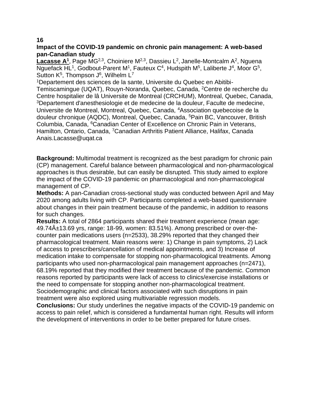# **Impact of the COVID-19 pandemic on chronic pain management: A web-based pan-Canadian study**

Lacasse A<sup>1</sup>, Page MG<sup>2,3</sup>, Choiniere M<sup>2,3</sup>, Dassieu L<sup>2</sup>, Janelle-Montcalm A<sup>2</sup>, Nguena Nguefack HL<sup>1</sup>, Godbout-Parent M<sup>1</sup>, Fauteux C<sup>4</sup>, Hudspith M<sup>5</sup>, Laliberte J<sup>4</sup>, Moor G<sup>5</sup>, Sutton  $K^5$ , Thompson  $J^6$ , Wilhelm L<sup>7</sup>

1Departement des sciences de la sante, Universite du Quebec en Abitibi-

Temiscamingue (UQAT), Rouyn-Noranda, Quebec, Canada, <sup>2</sup>Centre de recherche du Centre hospitalier de lâ Universite de Montreal (CRCHUM), Montreal, Quebec, Canada, <sup>3</sup>Departement d'anesthesiologie et de medecine de la douleur, Faculte de medecine, Universite de Montreal, Montreal, Quebec, Canada, <sup>4</sup>Association quebecoise de la douleur chronique (AQDC), Montreal, Quebec, Canada, <sup>5</sup>Pain BC, Vancouver, British Columbia, Canada, <sup>6</sup>Canadian Center of Excellence on Chronic Pain in Veterans, Hamilton, Ontario, Canada, <sup>7</sup>Canadian Arthritis Patient Alliance, Halifax, Canada Anais.Lacasse@uqat.ca

**Background:** Multimodal treatment is recognized as the best paradigm for chronic pain (CP) management. Careful balance between pharmacological and non-pharmacological approaches is thus desirable, but can easily be disrupted. This study aimed to explore the impact of the COVID-19 pandemic on pharmacological and non-pharmacological management of CP.

**Methods:** A pan-Canadian cross-sectional study was conducted between April and May 2020 among adults living with CP. Participants completed a web-based questionnaire about changes in their pain treatment because of the pandemic, in addition to reasons for such changes.

**Results:** A total of 2864 participants shared their treatment experience (mean age: 49.74±13.69 yrs, range: 18-99, women: 83.51%). Among prescribed or over-thecounter pain medications users (n=2533), 38.29% reported that they changed their pharmacological treatment. Main reasons were: 1) Change in pain symptoms, 2) Lack of access to prescribers/cancellation of medical appointments, and 3) Increase of medication intake to compensate for stopping non-pharmacological treatments. Among participants who used non-pharmacological pain management approaches (n=2471), 68.19% reported that they modified their treatment because of the pandemic. Common reasons reported by participants were lack of access to clinics/exercise installations or the need to compensate for stopping another non-pharmacological treatment. Sociodemographic and clinical factors associated with such disruptions in pain treatment were also explored using multivariable regression models.

**Conclusions:** Our study underlines the negative impacts of the COVID-19 pandemic on access to pain relief, which is considered a fundamental human right. Results will inform the development of interventions in order to be better prepared for future crises.

#### **16**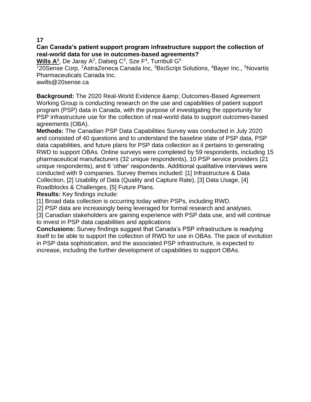# **Can Canada's patient support program infrastructure support the collection of real-world data for use in outcomes-based agreements?**

**Wills A<sup>1</sup>, De Jaray A<sup>2</sup>, Dalseg C<sup>3</sup>, Sze F<sup>4</sup>, Turnbull G<sup>5</sup>** 

120Sense Corp, <sup>2</sup>AstraZeneca Canada Inc, <sup>3</sup>BioScript Solutions, <sup>4</sup>Bayer Inc., <sup>5</sup>Novartis Pharmaceuticals Canada Inc.

awills@20sense.ca

**Background:** The 2020 Real-World Evidence & amp; Outcomes-Based Agreement Working Group is conducting research on the use and capabilities of patient support program (PSP) data in Canada, with the purpose of investigating the opportunity for PSP infrastructure use for the collection of real-world data to support outcomes-based agreements (OBA).

**Methods:** The Canadian PSP Data Capabilities Survey was conducted in July 2020 and consisted of 40 questions and to understand the baseline state of PSP data, PSP data capabilities, and future plans for PSP data collection as it pertains to generating RWD to support OBAs. Online surveys were completed by 59 respondents, including 15 pharmaceutical manufacturers (32 unique respondents), 10 PSP service providers (21 unique respondents), and 6 'other' respondents. Additional qualitative interviews were conducted with 9 companies. Survey themes included: [1] Infrastructure & Data Collection, [2] Usability of Data (Quality and Capture Rate), [3] Data Usage, [4] Roadblocks & Challenges, [5] Future Plans.

**Results:** Key findings include:

[1] Broad data collection is occurring today within PSPs, including RWD.

[2] PSP data are increasingly being leveraged for formal research and analyses.

[3] Canadian stakeholders are gaining experience with PSP data use, and will continue to invest in PSP data capabilities and applications

**Conclusions:** Survey findings suggest that Canada's PSP infrastructure is readying itself to be able to support the collection of RWD for use in OBAs. The pace of evolution in PSP data sophistication, and the associated PSP infrastructure, is expected to increase, including the further development of capabilities to support OBAs.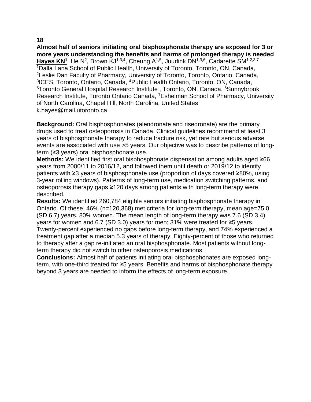**Almost half of seniors initiating oral bisphosphonate therapy are exposed for 3 or more years understanding the benefits and harms of prolonged therapy is needed** Hayes KN<sup>1</sup>, He N<sup>2</sup>, Brown KJ<sup>1,3,4</sup>, Cheung A<sup>1,5</sup>, Juurlink DN<sup>1,3,6</sup>, Cadarette SM<sup>1,2,3,7</sup> <sup>1</sup>Dalla Lana School of Public Health, University of Toronto, Toronto, ON, Canada, <sup>2</sup>Leslie Dan Faculty of Pharmacy, University of Toronto, Toronto, Ontario, Canada, 3 ICES, Toronto, Ontario, Canada, <sup>4</sup>Public Health Ontario, Toronto, ON, Canada, <sup>5</sup>Toronto General Hospital Research Institute, Toronto, ON, Canada, <sup>6</sup>Sunnybrook Research Institute, Toronto Ontario Canada, <sup>7</sup>Eshelman School of Pharmacy, University of North Carolina, Chapel Hill, North Carolina, United States k.hayes@mail.utoronto.ca

**Background:** Oral bisphosphonates (alendronate and risedronate) are the primary drugs used to treat osteoporosis in Canada. Clinical guidelines recommend at least 3 years of bisphosphonate therapy to reduce fracture risk, yet rare but serious adverse events are associated with use >5 years. Our objective was to describe patterns of longterm (≥3 years) oral bisphosphonate use.

**Methods:** We identified first oral bisphosphonate dispensation among adults aged ≥66 years from 2000/11 to 2016/12, and followed them until death or 2019/12 to identify patients with ≥3 years of bisphosphonate use (proportion of days covered ≥80%, using 3-year rolling windows). Patterns of long-term use, medication switching patterns, and osteoporosis therapy gaps ≥120 days among patients with long-term therapy were described.

**Results:** We identified 260,784 eligible seniors initiating bisphosphonate therapy in Ontario. Of these, 46% (n=120,368) met criteria for long-term therapy, mean age=75.0 (SD 6.7) years, 80% women. The mean length of long-term therapy was 7.6 (SD 3.4) years for women and 6.7 (SD 3.0) years for men; 31% were treated for ≥5 years. Twenty-percent experienced no gaps before long-term therapy, and 74% experienced a treatment gap after a median 5.3 years of therapy. Eighty-percent of those who returned to therapy after a gap re-initiated an oral bisphosphonate. Most patients without longterm therapy did not switch to other osteoporosis medications.

**Conclusions:** Almost half of patients initiating oral bisphosphonates are exposed longterm, with one-third treated for ≥5 years. Benefits and harms of bisphosphonate therapy beyond 3 years are needed to inform the effects of long-term exposure.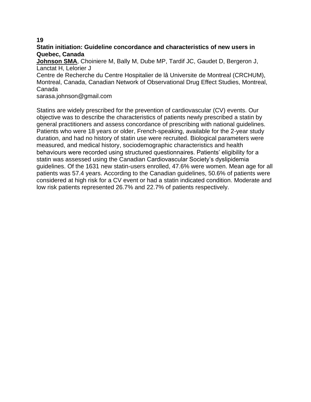# **Statin initiation: Guideline concordance and characteristics of new users in Quebec, Canada**

**Johnson SMA**, Choiniere M, Bally M, Dube MP, Tardif JC, Gaudet D, Bergeron J, Lanctat H, Lelorier J

Centre de Recherche du Centre Hospitalier de lâ Universite de Montreal (CRCHUM), Montreal, Canada, Canadian Network of Observational Drug Effect Studies, Montreal, Canada

sarasa.johnson@gmail.com

Statins are widely prescribed for the prevention of cardiovascular (CV) events. Our objective was to describe the characteristics of patients newly prescribed a statin by general practitioners and assess concordance of prescribing with national guidelines. Patients who were 18 years or older, French-speaking, available for the 2-year study duration, and had no history of statin use were recruited. Biological parameters were measured, and medical history, sociodemographic characteristics and health behaviours were recorded using structured questionnaires. Patients' eligibility for a statin was assessed using the Canadian Cardiovascular Society's dyslipidemia guidelines. Of the 1631 new statin-users enrolled, 47.6% were women. Mean age for all patients was 57.4 years. According to the Canadian guidelines, 50.6% of patients were considered at high risk for a CV event or had a statin indicated condition. Moderate and low risk patients represented 26.7% and 22.7% of patients respectively.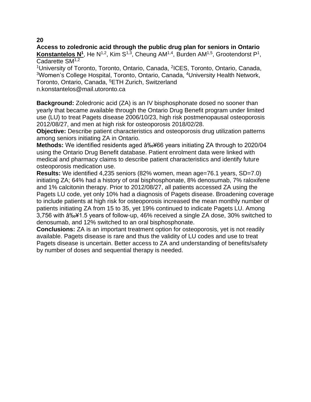**Access to zoledronic acid through the public drug plan for seniors in Ontario** Konstantelos N<sup>1</sup>, He N<sup>1,2</sup>, Kim S<sup>1,3</sup>, Cheung AM<sup>1,4</sup>, Burden AM<sup>1,5</sup>, Grootendorst P<sup>1</sup>, Cadarette SM<sup>1,2</sup>

<sup>1</sup>University of Toronto, Toronto, Ontario, Canada, <sup>2</sup>ICES, Toronto, Ontario, Canada, <sup>3</sup>Women's College Hospital, Toronto, Ontario, Canada, <sup>4</sup>University Health Network, Toronto, Ontario, Canada, <sup>5</sup>ETH Zurich, Switzerland

n.konstantelos@mail.utoronto.ca

**Background:** Zoledronic acid (ZA) is an IV bisphosphonate dosed no sooner than yearly that became available through the Ontario Drug Benefit program under limited use (LU) to treat Pagets disease 2006/10/23, high risk postmenopausal osteoporosis 2012/08/27, and men at high risk for osteoporosis 2018/02/28.

**Objective:** Describe patient characteristics and osteoporosis drug utilization patterns among seniors initiating ZA in Ontario.

**Methods:** We identified residents aged  $\hat{a}$ %+66 years initiating ZA through to 2020/04 using the Ontario Drug Benefit database. Patient enrolment data were linked with medical and pharmacy claims to describe patient characteristics and identify future osteoporosis medication use.

**Results:** We identified 4,235 seniors (82% women, mean age=76.1 years, SD=7.0) initiating ZA; 64% had a history of oral bisphosphonate, 8% denosumab, 7% raloxifene and 1% calcitonin therapy. Prior to 2012/08/27, all patients accessed ZA using the Pagets LU code, yet only 10% had a diagnosis of Pagets disease. Broadening coverage to include patients at high risk for osteoporosis increased the mean monthly number of patients initiating ZA from 15 to 35, yet 19% continued to indicate Pagets LU. Among 3,756 with  $\hat{a}_{0}$ . 45 years of follow-up, 46% received a single ZA dose, 30% switched to denosumab, and 12% switched to an oral bisphosphonate.

**Conclusions:** ZA is an important treatment option for osteoporosis, yet is not readily available. Pagets disease is rare and thus the validity of LU codes and use to treat Pagets disease is uncertain. Better access to ZA and understanding of benefits/safety by number of doses and sequential therapy is needed.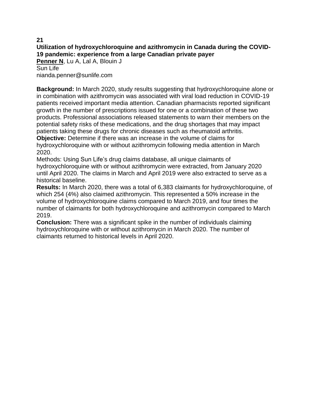# **21 Utilization of hydroxychloroquine and azithromycin in Canada during the COVID-19 pandemic: experience from a large Canadian private payer**

**Penner N**, Lu A, Lal A, Blouin J Sun Life nianda.penner@sunlife.com

**Background:** In March 2020, study results suggesting that hydroxychloroquine alone or in combination with azithromycin was associated with viral load reduction in COVID-19 patients received important media attention. Canadian pharmacists reported significant growth in the number of prescriptions issued for one or a combination of these two products. Professional associations released statements to warn their members on the potential safety risks of these medications, and the drug shortages that may impact patients taking these drugs for chronic diseases such as rheumatoid arthritis.

**Objective:** Determine if there was an increase in the volume of claims for hydroxychloroquine with or without azithromycin following media attention in March 2020.

Methods: Using Sun Life's drug claims database, all unique claimants of hydroxychloroquine with or without azithromycin were extracted, from January 2020 until April 2020. The claims in March and April 2019 were also extracted to serve as a historical baseline.

**Results:** In March 2020, there was a total of 6,383 claimants for hydroxychloroquine, of which 254 (4%) also claimed azithromycin. This represented a 50% increase in the volume of hydroxychloroquine claims compared to March 2019, and four times the number of claimants for both hydroxychloroquine and azithromycin compared to March 2019.

**Conclusion:** There was a significant spike in the number of individuals claiming hydroxychloroquine with or without azithromycin in March 2020. The number of claimants returned to historical levels in April 2020.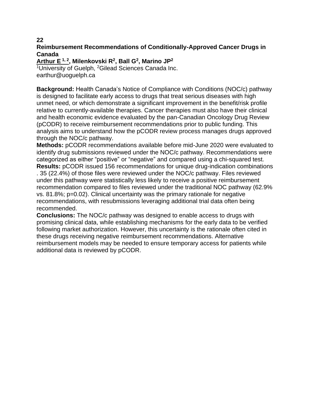# **Reimbursement Recommendations of Conditionally-Approved Cancer Drugs in Canada**

**Arthur E 1, 2, Milenkovski R<sup>2</sup> , Ball G<sup>2</sup> , Marino JP<sup>2</sup>**

<sup>1</sup>University of Guelph, <sup>2</sup>Gilead Sciences Canada Inc. earthur@uoguelph.ca

**Background:** Health Canada's Notice of Compliance with Conditions (NOC/c) pathway is designed to facilitate early access to drugs that treat serious diseases with high unmet need, or which demonstrate a significant improvement in the benefit/risk profile relative to currently-available therapies. Cancer therapies must also have their clinical and health economic evidence evaluated by the pan-Canadian Oncology Drug Review (pCODR) to receive reimbursement recommendations prior to public funding. This analysis aims to understand how the pCODR review process manages drugs approved through the NOC/c pathway.

**Methods:** pCODR recommendations available before mid-June 2020 were evaluated to identify drug submissions reviewed under the NOC/c pathway. Recommendations were categorized as either "positive" or "negative" and compared using a chi-squared test.

**Results:** pCODR issued 156 recommendations for unique drug-indication combinations . 35 (22.4%) of those files were reviewed under the NOC/c pathway. Files reviewed under this pathway were statistically less likely to receive a positive reimbursement recommendation compared to files reviewed under the traditional NOC pathway (62.9% vs. 81.8%; p=0.02). Clinical uncertainty was the primary rationale for negative recommendations, with resubmissions leveraging additional trial data often being recommended.

**Conclusions:** The NOC/c pathway was designed to enable access to drugs with promising clinical data, while establishing mechanisms for the early data to be verified following market authorization. However, this uncertainty is the rationale often cited in these drugs receiving negative reimbursement recommendations. Alternative reimbursement models may be needed to ensure temporary access for patients while additional data is reviewed by pCODR.

**22**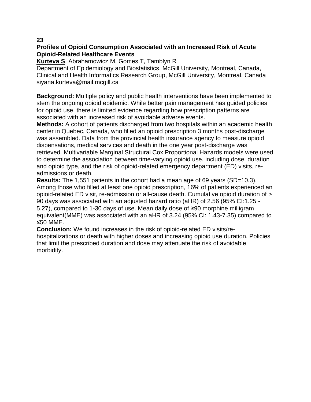# **Profiles of Opioid Consumption Associated with an Increased Risk of Acute Opioid-Related Healthcare Events**

**Kurteva S**, Abrahamowicz M, Gomes T, Tamblyn R

Department of Epidemiology and Biostatistics, McGill University, Montreal, Canada, Clinical and Health Informatics Research Group, McGill University, Montreal, Canada siyana.kurteva@mail.mcgill.ca

**Background:** Multiple policy and public health interventions have been implemented to stem the ongoing opioid epidemic. While better pain management has guided policies for opioid use, there is limited evidence regarding how prescription patterns are associated with an increased risk of avoidable adverse events.

**Methods:** A cohort of patients discharged from two hospitals within an academic health center in Quebec, Canada, who filled an opioid prescription 3 months post-discharge was assembled. Data from the provincial health insurance agency to measure opioid dispensations, medical services and death in the one year post-discharge was retrieved. Multivariable Marginal Structural Cox Proportional Hazards models were used to determine the association between time-varying opioid use, including dose, duration and opioid type, and the risk of opioid-related emergency department (ED) visits, readmissions or death.

**Results:** The 1,551 patients in the cohort had a mean age of 69 years (SD=10.3). Among those who filled at least one opioid prescription, 16% of patients experienced an opioid-related ED visit, re-admission or all-cause death. Cumulative opioid duration of > 90 days was associated with an adjusted hazard ratio (aHR) of 2.56 (95% CI:1.25 - 5.27), compared to 1-30 days of use. Mean daily dose of ≥90 morphine milligram equivalent(MME) was associated with an aHR of 3.24 (95% CI: 1.43-7.35) compared to ≤50 MME.

**Conclusion:** We found increases in the risk of opioid-related ED visits/rehospitalizations or death with higher doses and increasing opioid use duration. Policies that limit the prescribed duration and dose may attenuate the risk of avoidable morbidity.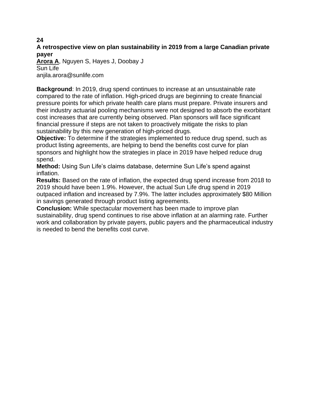**A retrospective view on plan sustainability in 2019 from a large Canadian private payer**

**Arora A**, Nguyen S, Hayes J, Doobay J Sun Life anjila.arora@sunlife.com

**Background**: In 2019, drug spend continues to increase at an unsustainable rate compared to the rate of inflation. High-priced drugs are beginning to create financial pressure points for which private health care plans must prepare. Private insurers and their industry actuarial pooling mechanisms were not designed to absorb the exorbitant cost increases that are currently being observed. Plan sponsors will face significant financial pressure if steps are not taken to proactively mitigate the risks to plan sustainability by this new generation of high-priced drugs.

**Objective:** To determine if the strategies implemented to reduce drug spend, such as product listing agreements, are helping to bend the benefits cost curve for plan sponsors and highlight how the strategies in place in 2019 have helped reduce drug spend.

**Method:** Using Sun Life's claims database, determine Sun Life's spend against inflation.

**Results:** Based on the rate of inflation, the expected drug spend increase from 2018 to 2019 should have been 1.9%. However, the actual Sun Life drug spend in 2019 outpaced inflation and increased by 7.9%. The latter includes approximately \$80 Million in savings generated through product listing agreements.

**Conclusion:** While spectacular movement has been made to improve plan sustainability, drug spend continues to rise above inflation at an alarming rate. Further work and collaboration by private payers, public payers and the pharmaceutical industry is needed to bend the benefits cost curve.

#### **24**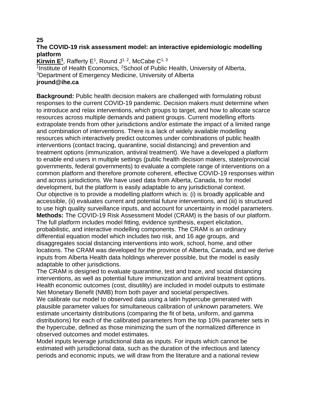# **The COVID-19 risk assessment model: an interactive epidemiologic modelling platform**

**Kirwin E<sup>1</sup>**, Rafferty E<sup>1</sup>, Round J<sup>1, 2</sup>, McCabe C<sup>1, 3</sup> <sup>1</sup>Institute of Health Economics, <sup>2</sup>School of Public Health, University of Alberta, <sup>3</sup>Department of Emergency Medicine, University of Alberta **jround@ihe.ca**

**Background:** Public health decision makers are challenged with formulating robust responses to the current COVID-19 pandemic. Decision makers must determine when to introduce and relax interventions, which groups to target, and how to allocate scarce resources across multiple demands and patient groups. Current modelling efforts extrapolate trends from other jurisdictions and/or estimate the impact of a limited range and combination of interventions. There is a lack of widely available modelling resources which interactively predict outcomes under combinations of public health interventions (contact tracing, quarantine, social distancing) and prevention and treatment options (immunization, antiviral treatment). We have a developed a platform to enable end users in multiple settings (public health decision makers, state/provincial governments, federal governments) to evaluate a complete range of interventions on a common platform and therefore promote coherent, effective COVID-19 responses within and across jurisdictions. We have used data from Alberta, Canada, to for model development, but the platform is easily adaptable to any jurisdictional context. Our objective is to provide a modelling platform which is: (i) is broadly applicable and accessible, (ii) evaluates current and potential future interventions, and (iii) is structured to use high quality surveillance inputs, and account for uncertainty in model parameters. **Methods:** The COVID-19 Risk Assessment Model (CRAM) is the basis of our platform. The full platform includes model fitting, evidence synthesis, expert elicitation, probabilistic, and interactive modelling components. The CRAM is an ordinary differential equation model which includes two risk, and 16 age groups, and disaggregates social distancing interventions into work, school, home, and other locations. The CRAM was developed for the province of Alberta, Canada, and we derive inputs from Alberta Health data holdings wherever possible, but the model is easily adaptable to other jurisdictions.

The CRAM is designed to evaluate quarantine, test and trace, and social distancing interventions, as well as potential future immunization and antiviral treatment options. Health economic outcomes (cost, disutility) are included in model outputs to estimate Net Monetary Benefit (NMB) from both payer and societal perspectives.

We calibrate our model to observed data using a latin hypercube generated with plausible parameter values for simultaneous calibration of unknown parameters. We estimate uncertainty distributions (comparing the fit of beta, uniform, and gamma distributions) for each of the calibrated parameters from the top 10% parameter sets in the hypercube, defined as those minimizing the sum of the normalized difference in observed outcomes and model estimates.

Model inputs leverage jurisdictional data as inputs. For inputs which cannot be estimated with jurisdictional data, such as the duration of the infectious and latency periods and economic inputs, we will draw from the literature and a national review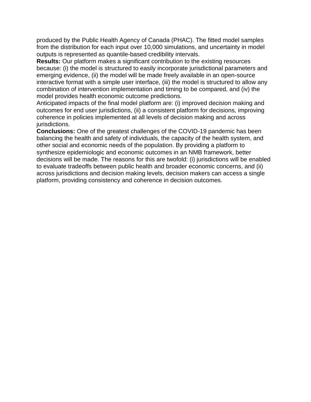produced by the Public Health Agency of Canada (PHAC). The fitted model samples from the distribution for each input over 10,000 simulations, and uncertainty in model outputs is represented as quantile-based credibility intervals.

**Results:** Our platform makes a significant contribution to the existing resources because: (i) the model is structured to easily incorporate jurisdictional parameters and emerging evidence, (ii) the model will be made freely available in an open-source interactive format with a simple user interface, (iii) the model is structured to allow any combination of intervention implementation and timing to be compared, and (iv) the model provides health economic outcome predictions.

Anticipated impacts of the final model platform are: (i) improved decision making and outcomes for end user jurisdictions, (ii) a consistent platform for decisions, improving coherence in policies implemented at all levels of decision making and across jurisdictions.

**Conclusions:** One of the greatest challenges of the COVID-19 pandemic has been balancing the health and safety of individuals, the capacity of the health system, and other social and economic needs of the population. By providing a platform to synthesize epidemiologic and economic outcomes in an NMB framework, better decisions will be made. The reasons for this are twofold: (i) jurisdictions will be enabled to evaluate tradeoffs between public health and broader economic concerns, and (ii) across jurisdictions and decision making levels, decision makers can access a single platform, providing consistency and coherence in decision outcomes.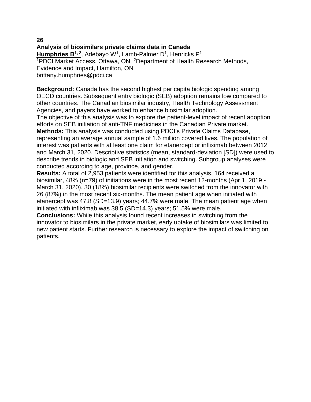# **Analysis of biosimilars private claims data in Canada**

Humphries B<sup>1, 2</sup>, Adebayo W<sup>1</sup>, Lamb-Palmer D<sup>1</sup>, Henricks P<sup>1</sup> <sup>1</sup>PDCI Market Access, Ottawa, ON, <sup>2</sup>Department of Health Research Methods, Evidence and Impact, Hamilton, ON brittany.humphries@pdci.ca

**Background:** Canada has the second highest per capita biologic spending among OECD countries. Subsequent entry biologic (SEB) adoption remains low compared to other countries. The Canadian biosimilar industry, Health Technology Assessment Agencies, and payers have worked to enhance biosimilar adoption.

The objective of this analysis was to explore the patient-level impact of recent adoption efforts on SEB initiation of anti-TNF medicines in the Canadian Private market.

**Methods:** This analysis was conducted using PDCI's Private Claims Database, representing an average annual sample of 1.6 million covered lives. The population of interest was patients with at least one claim for etanercept or infliximab between 2012 and March 31, 2020. Descriptive statistics (mean, standard-deviation [SD]) were used to describe trends in biologic and SEB initiation and switching. Subgroup analyses were conducted according to age, province, and gender.

**Results:** A total of 2,953 patients were identified for this analysis. 164 received a biosimilar, 48% (n=79) of initiations were in the most recent 12-months (Apr 1, 2019 - March 31, 2020). 30 (18%) biosimilar recipients were switched from the innovator with 26 (87%) in the most recent six-months. The mean patient age when initiated with etanercept was 47.8 (SD=13.9) years; 44.7% were male. The mean patient age when initiated with infliximab was 38.5 (SD=14.3) years; 51.5% were male.

**Conclusions:** While this analysis found recent increases in switching from the innovator to biosimilars in the private market, early uptake of biosimilars was limited to new patient starts. Further research is necessary to explore the impact of switching on patients.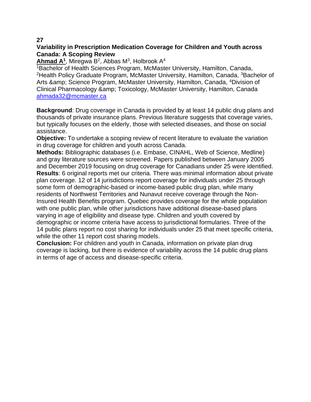# **Variability in Prescription Medication Coverage for Children and Youth across Canada: A Scoping Review**

**Ahmad A<sup>1</sup>** , Miregwa B<sup>2</sup> , Abbas M<sup>3</sup> , Holbrook A<sup>4</sup>

<sup>1</sup>Bachelor of Health Sciences Program, McMaster University, Hamilton, Canada, <sup>2</sup>Health Policy Graduate Program, McMaster University, Hamilton, Canada, <sup>3</sup>Bachelor of Arts & amp: Science Program, McMaster University, Hamilton, Canada, <sup>4</sup>Division of Clinical Pharmacology & amp; Toxicology, McMaster University, Hamilton, Canada [ahmada32@mcmaster.ca](mailto:ahmada32@mcmaster.ca)

**Background**: Drug coverage in Canada is provided by at least 14 public drug plans and thousands of private insurance plans. Previous literature suggests that coverage varies, but typically focuses on the elderly, those with selected diseases, and those on social assistance.

**Objective:** To undertake a scoping review of recent literature to evaluate the variation in drug coverage for children and youth across Canada.

**Methods:** Bibliographic databases (i.e. Embase, CINAHL, Web of Science, Medline) and gray literature sources were screened. Papers published between January 2005 and December 2019 focusing on drug coverage for Canadians under 25 were identified. **Results**: 6 original reports met our criteria. There was minimal information about private plan coverage. 12 of 14 jurisdictions report coverage for individuals under 25 through some form of demographic-based or income-based public drug plan, while many residents of Northwest Territories and Nunavut receive coverage through the Non-Insured Health Benefits program. Quebec provides coverage for the whole population with one public plan, while other jurisdictions have additional disease-based plans varying in age of eligibility and disease type. Children and youth covered by demographic or income criteria have access to jurisdictional formularies. Three of the 14 public plans report no cost sharing for individuals under 25 that meet specific criteria, while the other 11 report cost sharing models.

**Conclusion:** For children and youth in Canada, information on private plan drug coverage is lacking, but there is evidence of variability across the 14 public drug plans in terms of age of access and disease-specific criteria.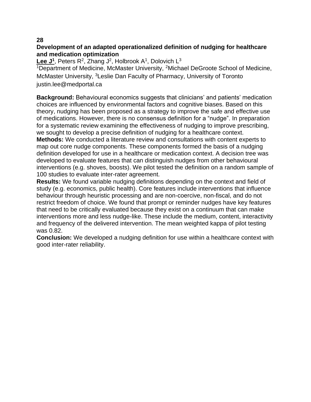# **Development of an adapted operationalized definition of nudging for healthcare and medication optimization**

Lee J<sup>1</sup>, Peters R<sup>2</sup>, Zhang J<sup>2</sup>, Holbrook A<sup>1</sup>, Dolovich L<sup>3</sup>

<sup>1</sup>Department of Medicine, McMaster University, <sup>2</sup>Michael DeGroote School of Medicine, McMaster University, <sup>3</sup>Leslie Dan Faculty of Pharmacy, University of Toronto justin.lee@medportal.ca

**Background:** Behavioural economics suggests that clinicians' and patients' medication choices are influenced by environmental factors and cognitive biases. Based on this theory, nudging has been proposed as a strategy to improve the safe and effective use of medications. However, there is no consensus definition for a "nudge". In preparation for a systematic review examining the effectiveness of nudging to improve prescribing, we sought to develop a precise definition of nudging for a healthcare context. **Methods:** We conducted a literature review and consultations with content experts to map out core nudge components. These components formed the basis of a nudging definition developed for use in a healthcare or medication context. A decision tree was developed to evaluate features that can distinguish nudges from other behavioural interventions (e.g. shoves, boosts). We pilot tested the definition on a random sample of 100 studies to evaluate inter-rater agreement.

**Results:** We found variable nudging definitions depending on the context and field of study (e.g. economics, public health). Core features include interventions that influence behaviour through heuristic processing and are non-coercive, non-fiscal, and do not restrict freedom of choice. We found that prompt or reminder nudges have key features that need to be critically evaluated because they exist on a continuum that can make interventions more and less nudge-like. These include the medium, content, interactivity and frequency of the delivered intervention. The mean weighted kappa of pilot testing was 0.82.

**Conclusion:** We developed a nudging definition for use within a healthcare context with good inter-rater reliability.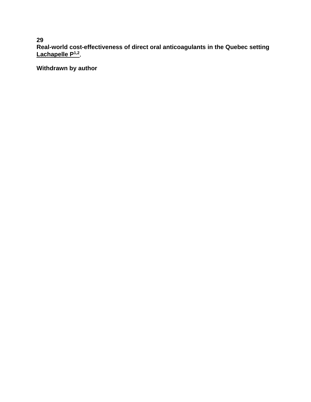**29 Real-world cost-effectiveness of direct oral anticoagulants in the Quebec setting Lachapelle P1,2** ,

**Withdrawn by author**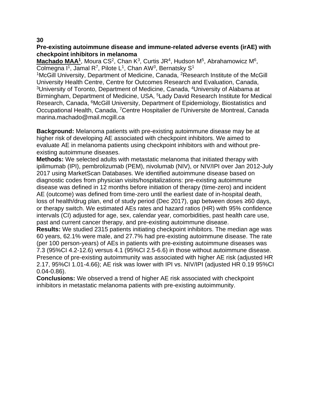# **Pre-existing autoimmune disease and immune-related adverse events (irAE) with checkpoint inhibitors in melanoma**

Machado MAA<sup>1</sup>, Moura CS<sup>2</sup>, Chan K<sup>3</sup>, Curtis JR<sup>4</sup>, Hudson M<sup>5</sup>, Abrahamowicz M<sup>6</sup>, Colmegna I<sup>1</sup>, Jamal R<sup>7</sup>, Pilote L<sup>1</sup>, Chan AW<sup>3</sup>, Bernatsky S<sup>1</sup>

<sup>1</sup>McGill University, Department of Medicine, Canada, <sup>2</sup>Research Institute of the McGill University Health Centre, Centre for Outcomes Research and Evaluation, Canada, <sup>3</sup>University of Toronto, Department of Medicine, Canada, <sup>4</sup>University of Alabama at Birmingham, Department of Medicine, USA, <sup>5</sup>Lady David Research Institute for Medical Research, Canada, <sup>6</sup>McGill University, Department of Epidemiology, Biostatistics and Occupational Health, Canada, <sup>7</sup>Centre Hospitalier de l'Universite de Montreal, Canada marina.machado@mail.mcgill.ca

**Background:** Melanoma patients with pre-existing autoimmune disease may be at higher risk of developing AE associated with checkpoint inhibitors. We aimed to evaluate AE in melanoma patients using checkpoint inhibitors with and without preexisting autoimmune diseases.

**Methods:** We selected adults with metastatic melanoma that initiated therapy with ipilimumab (IPI), pembrolizumab (PEM), nivolumab (NIV), or NIV/IPI over Jan 2012-July 2017 using MarketScan Databases. We identified autoimmune disease based on diagnostic codes from physician visits/hospitalizations: pre-existing autoimmune disease was defined in 12 months before initiation of therapy (time-zero) and incident AE (outcome) was defined from time-zero until the earliest date of in-hospital death, loss of health/drug plan, end of study period (Dec 2017), gap between doses ≥60 days, or therapy switch. We estimated AEs rates and hazard ratios (HR) with 95% confidence intervals (CI) adjusted for age, sex, calendar year, comorbidities, past health care use, past and current cancer therapy, and pre-existing autoimmune disease.

**Results:** We studied 2315 patients initiating checkpoint inhibitors. The median age was 60 years, 62.1% were male, and 27.7% had pre-existing autoimmune disease. The rate (per 100 person-years) of AEs in patients with pre-existing autoimmune diseases was 7.3 (95%CI 4.2-12.6) versus 4.1 (95%CI 2.5-6.6) in those without autoimmune disease. Presence of pre-existing autoimmunity was associated with higher AE risk (adjusted HR 2.17, 95%CI 1.01-4.66); AE risk was lower with IPI vs. NIV/IPI (adjusted HR 0.19 95%CI 0.04-0.86).

**Conclusions:** We observed a trend of higher AE risk associated with checkpoint inhibitors in metastatic melanoma patients with pre-existing autoimmunity.

# **30**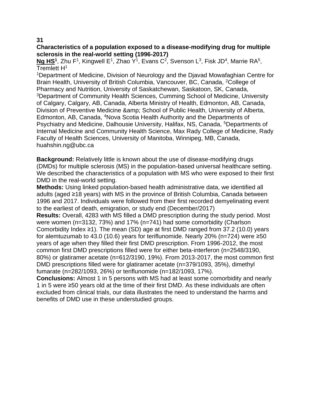# **Characteristics of a population exposed to a disease-modifying drug for multiple sclerosis in the real-world setting (1996-2017)**

**Ng HS<sup>1</sup>, Zhu F<sup>1</sup>, Kingwell E<sup>1</sup>, Zhao Y<sup>1</sup>, Evans C<sup>2</sup>, Svenson L<sup>3</sup>, Fisk JD<sup>4</sup>, Marrie RA<sup>5</sup>,** Tremlett H<sup>1</sup>

<sup>1</sup>Department of Medicine, Division of Neurology and the Djavad Mowafaghian Centre for Brain Health, University of British Columbia, Vancouver, BC, Canada, <sup>2</sup>College of Pharmacy and Nutrition, University of Saskatchewan, Saskatoon, SK, Canada, <sup>3</sup>Department of Community Health Sciences, Cumming School of Medicine, University of Calgary, Calgary, AB, Canada, Alberta Ministry of Health, Edmonton, AB, Canada, Division of Preventive Medicine & amp; School of Public Health, University of Alberta, Edmonton, AB, Canada, <sup>4</sup>Nova Scotia Health Authority and the Departments of Psychiatry and Medicine, Dalhousie University, Halifax, NS, Canada, <sup>5</sup>Departments of Internal Medicine and Community Health Science, Max Rady College of Medicine, Rady Faculty of Health Sciences, University of Manitoba, Winnipeg, MB, Canada, huahshin.ng@ubc.ca

**Background:** Relatively little is known about the use of disease-modifying drugs (DMDs) for multiple sclerosis (MS) in the population-based universal healthcare setting. We described the characteristics of a population with MS who were exposed to their first DMD in the real-world setting.

**Methods:** Using linked population-based health administrative data, we identified all adults (aged ≥18 years) with MS in the province of British Columbia, Canada between 1996 and 2017. Individuals were followed from their first recorded demyelinating event to the earliest of death, emigration, or study end (December/2017)

**Results:** Overall, 4283 with MS filled a DMD prescription during the study period. Most were women (n=3132, 73%) and 17% (n=741) had some comorbidity (Charlson Comorbidity Index  $\geq$ 1). The mean (SD) age at first DMD ranged from 37.2 (10.0) years for alemtuzumab to 43.0 (10.6) years for teriflunomide. Nearly 20% (n=724) were ≥50 years of age when they filled their first DMD prescription. From 1996-2012, the most common first DMD prescriptions filled were for either beta-interferon (n=2548/3190, 80%) or glatiramer acetate (n=612/3190, 19%). From 2013-2017, the most common first DMD prescriptions filled were for glatiramer acetate (n=379/1093, 35%), dimethyl fumarate (n=282/1093, 26%) or teriflunomide (n=182/1093, 17%).

**Conclusions:** Almost 1 in 5 persons with MS had at least some comorbidity and nearly 1 in 5 were ≥50 years old at the time of their first DMD. As these individuals are often excluded from clinical trials, our data illustrates the need to understand the harms and benefits of DMD use in these understudied groups.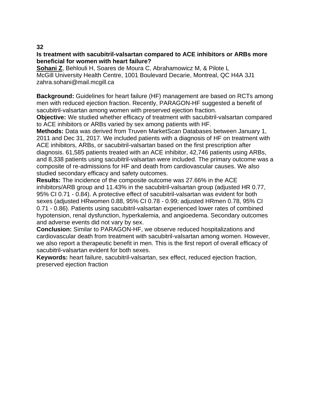## **Is treatment with sacubitril-valsartan compared to ACE inhibitors or ARBs more beneficial for women with heart failure?**

**Sohani Z**, Behlouli H, Soares de Moura C, Abrahamowicz M, & Pilote L McGill University Health Centre, 1001 Boulevard Decarie, Montreal, QC H4A 3J1 zahra.sohani@mail.mcgill.ca

**Background:** Guidelines for heart failure (HF) management are based on RCTs among men with reduced ejection fraction. Recently, PARAGON-HF suggested a benefit of sacubitril-valsartan among women with preserved ejection fraction.

**Objective:** We studied whether efficacy of treatment with sacubitril-valsartan compared to ACE inhibitors or ARBs varied by sex among patients with HF.

**Methods:** Data was derived from Truven MarketScan Databases between January 1, 2011 and Dec 31, 2017. We included patients with a diagnosis of HF on treatment with ACE inhibitors, ARBs, or sacubitril-valsartan based on the first prescription after diagnosis. 61,585 patients treated with an ACE inhibitor, 42,746 patients using ARBs, and 8,338 patients using sacubitril-valsartan were included. The primary outcome was a composite of re-admissions for HF and death from cardiovascular causes. We also studied secondary efficacy and safety outcomes.

**Results:** The incidence of the composite outcome was 27.66% in the ACE inhibitors/ARB group and 11.43% in the sacubitril-valsartan group (adjusted HR 0.77, 95% CI 0.71 - 0.84). A protective effect of sacubitril-valsartan was evident for both sexes (adjusted HRwomen 0.88, 95% CI 0.78 - 0.99; adjusted HRmen 0.78, 95% CI 0.71 - 0.86). Patients using sacubitril-valsartan experienced lower rates of combined hypotension, renal dysfunction, hyperkalemia, and angioedema. Secondary outcomes and adverse events did not vary by sex.

**Conclusion:** Similar to PARAGON-HF, we observe reduced hospitalizations and cardiovascular death from treatment with sacubitril-valsartan among women. However, we also report a therapeutic benefit in men. This is the first report of overall efficacy of sacubitril-valsartan evident for both sexes.

**Keywords:** heart failure, sacubitril-valsartan, sex effect, reduced ejection fraction, preserved ejection fraction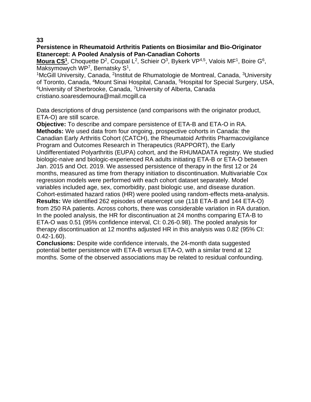# **Persistence in Rheumatoid Arthritis Patients on Biosimilar and Bio-Originator Etanercept: A Pooled Analysis of Pan-Canadian Cohorts**

Moura CS<sup>1</sup>, Choquette D<sup>2</sup>, Coupal L<sup>2</sup>, Schieir O<sup>3</sup>, Bykerk VP<sup>4,5</sup>, Valois MF<sup>1</sup>, Boire G<sup>6</sup>, Maksymowych WP<sup>7</sup>, Bernatsky S<sup>1</sup>,

<sup>1</sup>McGill University, Canada, <sup>2</sup>Institut de Rhumatologie de Montreal, Canada, <sup>3</sup>University of Toronto, Canada, <sup>4</sup>Mount Sinai Hospital, Canada, <sup>5</sup>Hospital for Special Surgery, USA, <sup>6</sup>University of Sherbrooke, Canada, <sup>7</sup>University of Alberta, Canada cristiano.soaresdemoura@mail.mcgill.ca

Data descriptions of drug persistence (and comparisons with the originator product, ETA-O) are still scarce.

**Objective:** To describe and compare persistence of ETA-B and ETA-O in RA. **Methods:** We used data from four ongoing, prospective cohorts in Canada: the Canadian Early Arthritis Cohort (CATCH), the Rheumatoid Arthritis Pharmacovigilance Program and Outcomes Research in Therapeutics (RAPPORT), the Early Undifferentiated Polyarthritis (EUPA) cohort, and the RHUMADATA registry. We studied biologic-naive and biologic-experienced RA adults initiating ETA-B or ETA-O between Jan. 2015 and Oct. 2019. We assessed persistence of therapy in the first 12 or 24 months, measured as time from therapy initiation to discontinuation. Multivariable Cox regression models were performed with each cohort dataset separately. Model variables included age, sex, comorbidity, past biologic use, and disease duration. Cohort-estimated hazard ratios (HR) were pooled using random-effects meta-analysis. **Results:** We identified 262 episodes of etanercept use (118 ETA-B and 144 ETA-O) from 250 RA patients. Across cohorts, there was considerable variation in RA duration. In the pooled analysis, the HR for discontinuation at 24 months comparing ETA-B to ETA-O was 0.51 (95% confidence interval, CI: 0.26-0.98). The pooled analysis for therapy discontinuation at 12 months adjusted HR in this analysis was 0.82 (95% CI: 0.42-1.60).

**Conclusions:** Despite wide confidence intervals, the 24-month data suggested potential better persistence with ETA-B versus ETA-O, with a similar trend at 12 months. Some of the observed associations may be related to residual confounding.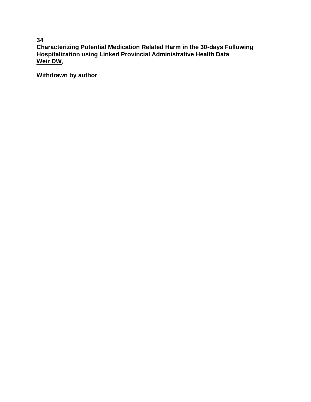**Characterizing Potential Medication Related Harm in the 30-days Following Hospitalization using Linked Provincial Administrative Health Data Weir DW**,

**Withdrawn by author**

**34**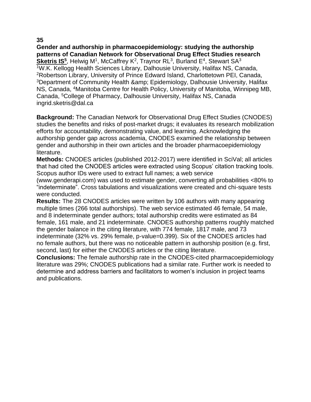**Gender and authorship in pharmacoepidemiology: studying the authorship patterns of Canadian Network for Observational Drug Effect Studies research** Sketris IS<sup>5</sup>, Helwig M<sup>1</sup>, McCaffrey K<sup>2</sup>, Traynor RL<sup>3</sup>, Burland E<sup>4</sup>, Stewart SA<sup>3</sup> <sup>1</sup>W.K. Kellogg Health Sciences Library, Dalhousie University, Halifax NS, Canada, <sup>2</sup>Robertson Library, University of Prince Edward Island, Charlottetown PEI, Canada, <sup>3</sup>Department of Community Health & amp; Epidemiology, Dalhousie University, Halifax NS, Canada, <sup>4</sup>Manitoba Centre for Health Policy, University of Manitoba, Winnipeg MB, Canada, <sup>5</sup>College of Pharmacy, Dalhousie University, Halifax NS, Canada ingrid.sketris@dal.ca

**Background:** The Canadian Network for Observational Drug Effect Studies (CNODES) studies the benefits and risks of post-market drugs; it evaluates its research mobilization efforts for accountability, demonstrating value, and learning. Acknowledging the authorship gender gap across academia, CNODES examined the relationship between gender and authorship in their own articles and the broader pharmacoepidemiology literature.

**Methods:** CNODES articles (published 2012-2017) were identified in SciVal; all articles that had cited the CNODES articles were extracted using Scopus' citation tracking tools. Scopus author IDs were used to extract full names; a web service

(www.genderapi.com) was used to estimate gender, converting all probabilities <80% to "indeterminate". Cross tabulations and visualizations were created and chi-square tests were conducted.

**Results:** The 28 CNODES articles were written by 106 authors with many appearing multiple times (266 total authorships). The web service estimated 46 female, 54 male, and 8 indeterminate gender authors; total authorship credits were estimated as 84 female, 161 male, and 21 indeterminate. CNODES authorship patterns roughly matched the gender balance in the citing literature, with 774 female, 1817 male, and 73 indeterminate (32% vs. 29% female, p-value=0.399). Six of the CNODES articles had no female authors, but there was no noticeable pattern in authorship position (e.g. first, second, last) for either the CNODES articles or the citing literature.

**Conclusions:** The female authorship rate in the CNODES-cited pharmacoepidemiology literature was 29%; CNODES publications had a similar rate. Further work is needed to determine and address barriers and facilitators to women's inclusion in project teams and publications.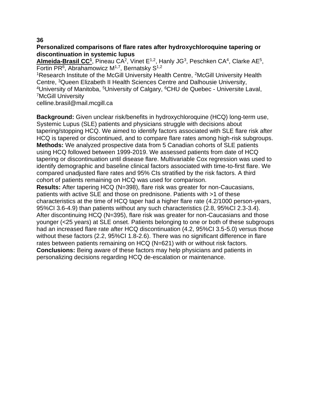# **Personalized comparisons of flare rates after hydroxychloroquine tapering or discontinuation in systemic lupus**

Almeida-Brasil CC<sup>1</sup>, Pineau CA<sup>2</sup>, Vinet E<sup>1,2</sup>, Hanly JG<sup>3</sup>, Peschken CA<sup>4</sup>, Clarke AE<sup>5</sup>, Fortin PR<sup>6</sup>, Abrahamowicz M<sup>1,7</sup>, Bernatsky S<sup>1,2</sup>

<sup>1</sup>Research Institute of the McGill University Health Centre, <sup>2</sup>McGill University Health Centre, <sup>3</sup>Queen Elizabeth II Health Sciences Centre and Dalhousie University, <sup>4</sup>University of Manitoba, <sup>5</sup>University of Calgary, <sup>6</sup>CHU de Quebec - Universite Laval, <sup>7</sup>McGill University

celline.brasil@mail.mcgill.ca

**Background:** Given unclear risk/benefits in hydroxychloroquine (HCQ) long-term use, Systemic Lupus (SLE) patients and physicians struggle with decisions about tapering/stopping HCQ. We aimed to identify factors associated with SLE flare risk after HCQ is tapered or discontinued, and to compare flare rates among high-risk subgroups. **Methods:** We analyzed prospective data from 5 Canadian cohorts of SLE patients using HCQ followed between 1999-2019. We assessed patients from date of HCQ tapering or discontinuation until disease flare. Multivariable Cox regression was used to identify demographic and baseline clinical factors associated with time-to-first flare. We compared unadjusted flare rates and 95% CIs stratified by the risk factors. A third cohort of patients remaining on HCQ was used for comparison.

**Results:** After tapering HCQ (N=398), flare risk was greater for non-Caucasians, patients with active SLE and those on prednisone. Patients with >1 of these characteristics at the time of HCQ taper had a higher flare rate (4.2/1000 person-years, 95%CI 3.6-4.9) than patients without any such characteristics (2.8, 95%CI 2.3-3.4). After discontinuing HCQ (N=395), flare risk was greater for non-Caucasians and those younger (<25 years) at SLE onset. Patients belonging to one or both of these subgroups had an increased flare rate after HCQ discontinuation (4.2, 95%CI 3.5-5.0) versus those without these factors (2.2, 95%CI 1.8-2.6). There was no significant difference in flare rates between patients remaining on HCQ (N=621) with or without risk factors. **Conclusions:** Being aware of these factors may help physicians and patients in personalizing decisions regarding HCQ de-escalation or maintenance.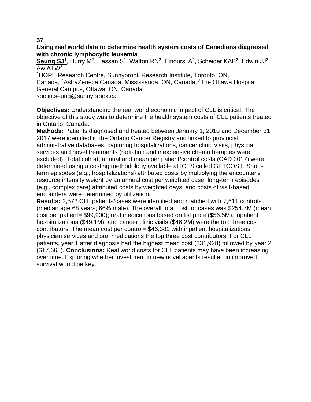# **Using real world data to determine health system costs of Canadians diagnosed with chronic lymphocytic leukemia**

Seung SJ<sup>1</sup>, Hurry M<sup>2</sup>, Hassan S<sup>1</sup>, Walton RN<sup>2</sup>, Elnoursi A<sup>2</sup>, Scheider KAB<sup>2</sup>, Edwin JJ<sup>2</sup>, Aw ATW<sup>3</sup>

<sup>1</sup>HOPE Research Centre, Sunnybrook Research Institute, Toronto, ON, Canada, <sup>2</sup>AstraZeneca Canada, Mississauga, ON, Canada, <sup>3</sup>The Ottawa Hospital General Campus, Ottawa, ON, Canada

soojin.seung@sunnybrook.ca

**Objectives:** Understanding the real world economic impact of CLL is critical. The objective of this study was to determine the health system costs of CLL patients treated in Ontario, Canada.

**Methods:** Patients diagnosed and treated between January 1, 2010 and December 31, 2017 were identified in the Ontario Cancer Registry and linked to provincial administrative databases, capturing hospitalizations, cancer clinic visits, physician services and novel treatments (radiation and inexpensive chemotherapies were excluded). Total cohort, annual and mean per patient/control costs (CAD 2017) were determined using a costing methodology available at ICES called GETCOST. Shortterm episodes (e.g., hospitalizations) attributed costs by multiplying the encounter's resource intensity weight by an annual cost per weighted case; long-term episodes (e.g., complex care) attributed costs by weighted days, and costs of visit-based encounters were determined by utilization.

**Results:** 2,572 CLL patients/cases were identified and matched with 7,611 controls (median age 68 years; 66% male). The overall total cost for cases was \$254.7M (mean cost per patient= \$99,900); oral medications based on list price (\$56.5M), inpatient hospitalizations (\$49.1M), and cancer clinic visits (\$46.2M) were the top three cost contributors. The mean cost per control= \$46,382 with inpatient hospitalizations, physician services and oral medications the top three cost contributors. For CLL patients, year 1 after diagnosis had the highest mean cost (\$31,928) followed by year 2 (\$17,665). **Conclusions:** Real world costs for CLL patients may have been increasing over time. Exploring whether investment in new novel agents resulted in improved survival would be key.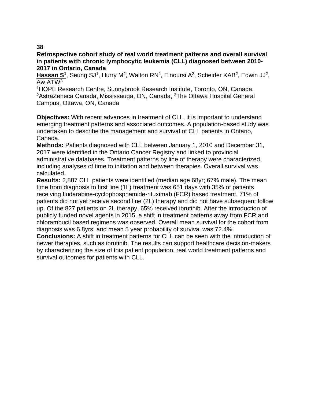**Retrospective cohort study of real world treatment patterns and overall survival in patients with chronic lymphocytic leukemia (CLL) diagnosed between 2010- 2017 in Ontario, Canada**

Hassan S<sup>1</sup>, Seung SJ<sup>1</sup>, Hurry M<sup>2</sup>, Walton RN<sup>2</sup>, Elnoursi A<sup>2</sup>, Scheider KAB<sup>2</sup>, Edwin JJ<sup>2</sup>, Aw ATW<sup>3</sup>

<sup>1</sup>HOPE Research Centre, Sunnybrook Research Institute, Toronto, ON, Canada, <sup>2</sup>AstraZeneca Canada, Mississauga, ON, Canada, <sup>3</sup>The Ottawa Hospital General Campus, Ottawa, ON, Canada

**Objectives:** With recent advances in treatment of CLL, it is important to understand emerging treatment patterns and associated outcomes. A population-based study was undertaken to describe the management and survival of CLL patients in Ontario, Canada.

**Methods:** Patients diagnosed with CLL between January 1, 2010 and December 31, 2017 were identified in the Ontario Cancer Registry and linked to provincial administrative databases. Treatment patterns by line of therapy were characterized, including analyses of time to initiation and between therapies. Overall survival was calculated.

**Results:** 2,887 CLL patients were identified (median age 68yr; 67% male). The mean time from diagnosis to first line (1L) treatment was 651 days with 35% of patients receiving fludarabine-cyclophosphamide-rituximab (FCR) based treatment, 71% of patients did not yet receive second line (2L) therapy and did not have subsequent follow up. Of the 827 patients on 2L therapy, 65% received ibrutinib. After the introduction of publicly funded novel agents in 2015, a shift in treatment patterns away from FCR and chlorambucil based regimens was observed. Overall mean survival for the cohort from diagnosis was 6.8yrs, and mean 5 year probability of survival was 72.4%.

**Conclusions:** A shift in treatment patterns for CLL can be seen with the introduction of newer therapies, such as ibrutinib. The results can support healthcare decision-makers by characterizing the size of this patient population, real world treatment patterns and survival outcomes for patients with CLL.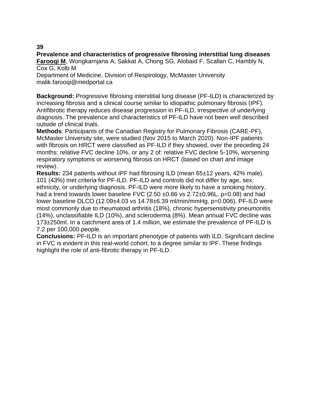## **Prevalence and characteristics of progressive fibrosing interstitial lung diseases**

**Farooqi M**, Wongkarnjana A, Sakkat A, Chong SG, Alobaid F, Scallan C, Hambly N, Cox G, Kolb M

Department of Medicine, Division of Respirology, McMaster University malik.farooqi@medportal.ca

**Background:** Progressive fibrosing interstitial lung disease (PF-ILD) is characterized by increasing fibrosis and a clinical course similar to idiopathic pulmonary fibrosis (IPF). Antifibrotic therapy reduces disease progression in PF-ILD, irrespective of underlying diagnosis. The prevalence and characteristics of PF-ILD have not been well described outside of clinical trials.

**Methods**: Participants of the Canadian Registry for Pulmonary Fibrosis (CARE-PF), McMaster University site, were studied (Nov 2015 to March 2020). Non-IPF patients with fibrosis on HRCT were classified as PF-ILD if they showed, over the preceding 24 months: relative FVC decline 10%, or any 2 of: relative FVC decline 5-10%, worsening respiratory symptoms or worsening fibrosis on HRCT (based on chart and image review).

**Results:** 234 patients without IPF had fibrosing ILD (mean 65±12 years, 42% male). 101 (43%) met criteria for PF-ILD. PF-ILD and controls did not differ by age, sex, ethnicity, or underlying diagnosis. PF-ILD were more likely to have a smoking history, had a trend towards lower baseline FVC  $(2.50 \pm 0.86 \text{ vs } 2.72 \pm 0.96 \text{ L}, \text{p=0.08})$  and had lower baseline DLCO (12.09±4.03 vs 14.78±6.39 ml/min/mmHg, p=0.006). PF-ILD were most commonly due to rheumatoid arthritis (18%), chronic hypersensitivity pneumonitis (14%), unclassifiable ILD (10%), and scleroderma (8%). Mean annual FVC decline was 173±250ml. In a catchment area of 1.4 million, we estimate the prevalence of PF-ILD is 7.2 per 100,000 people.

**Conclusions:** PF-ILD is an important phenotype of patients with ILD. Significant decline in FVC is evident in this real-world cohort, to a degree similar to IPF. These findings highlight the role of anti-fibrotic therapy in PF-ILD.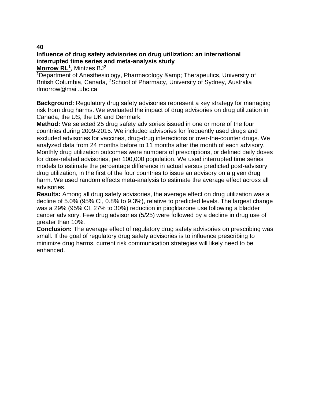# **Influence of drug safety advisories on drug utilization: an international interrupted time series and meta-analysis study**

**Morrow RL<sup>1</sup>** , Mintzes BJ<sup>2</sup>

<sup>1</sup>Department of Anesthesiology, Pharmacology & amp; Therapeutics, University of British Columbia, Canada, <sup>2</sup>School of Pharmacy, University of Sydney, Australia rlmorrow@mail.ubc.ca

**Background:** Regulatory drug safety advisories represent a key strategy for managing risk from drug harms. We evaluated the impact of drug advisories on drug utilization in Canada, the US, the UK and Denmark.

**Method:** We selected 25 drug safety advisories issued in one or more of the four countries during 2009-2015. We included advisories for frequently used drugs and excluded advisories for vaccines, drug-drug interactions or over-the-counter drugs. We analyzed data from 24 months before to 11 months after the month of each advisory. Monthly drug utilization outcomes were numbers of prescriptions, or defined daily doses for dose-related advisories, per 100,000 population. We used interrupted time series models to estimate the percentage difference in actual versus predicted post-advisory drug utilization, in the first of the four countries to issue an advisory on a given drug harm. We used random effects meta-analysis to estimate the average effect across all advisories.

**Results:** Among all drug safety advisories, the average effect on drug utilization was a decline of 5.0% (95% CI, 0.8% to 9.3%), relative to predicted levels. The largest change was a 29% (95% CI, 27% to 30%) reduction in pioglitazone use following a bladder cancer advisory. Few drug advisories (5/25) were followed by a decline in drug use of greater than 10%.

**Conclusion:** The average effect of regulatory drug safety advisories on prescribing was small. If the goal of regulatory drug safety advisories is to influence prescribing to minimize drug harms, current risk communication strategies will likely need to be enhanced.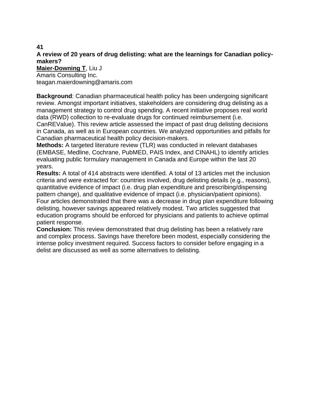# **A review of 20 years of drug delisting: what are the learnings for Canadian policymakers?**

**Maier-Downing T**, Liu J

Amaris Consulting Inc. teagan.maierdowning@amaris.com

**Background**: Canadian pharmaceutical health policy has been undergoing significant review. Amongst important initiatives, stakeholders are considering drug delisting as a management strategy to control drug spending. A recent initiative proposes real world data (RWD) collection to re-evaluate drugs for continued reimbursement (i.e.

CanREValue). This review article assessed the impact of past drug delisting decisions in Canada, as well as in European countries. We analyzed opportunities and pitfalls for Canadian pharmaceutical health policy decision-makers.

**Methods:** A targeted literature review (TLR) was conducted in relevant databases (EMBASE, Medline, Cochrane, PubMED, PAIS Index, and CINAHL) to identify articles evaluating public formulary management in Canada and Europe within the last 20 years.

**Results:** A total of 414 abstracts were identified. A total of 13 articles met the inclusion criteria and were extracted for: countries involved, drug delisting details (e.g., reasons), quantitative evidence of impact (i.e. drug plan expenditure and prescribing/dispensing pattern change), and qualitative evidence of impact (i.e. physician/patient opinions). Four articles demonstrated that there was a decrease in drug plan expenditure following delisting, however savings appeared relatively modest. Two articles suggested that education programs should be enforced for physicians and patients to achieve optimal patient response.

**Conclusion:** This review demonstrated that drug delisting has been a relatively rare and complex process. Savings have therefore been modest, especially considering the intense policy investment required. Success factors to consider before engaging in a delist are discussed as well as some alternatives to delisting.

**41**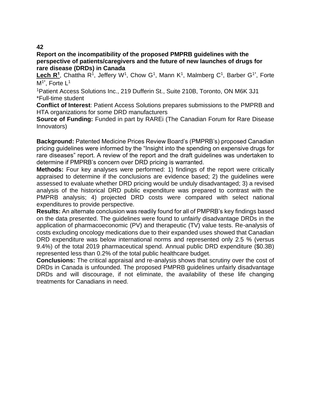**Report on the incompatibility of the proposed PMPRB guidelines with the perspective of patients/caregivers and the future of new launches of drugs for rare disease (DRDs) in Canada**

Lech R<sup>1</sup>, Chattha R<sup>1</sup>, Jeffery W<sup>1</sup>, Chow G<sup>1</sup>, Mann K<sup>1</sup>, Malmberg C<sup>1</sup>, Barber G<sup>1\*</sup>, Forte  $M<sup>1*</sup>$ . Forte  $L<sup>1</sup>$ 

<sup>1</sup>Patient Access Solutions Inc., 219 Dufferin St., Suite 210B, Toronto, ON M6K 3J1 \*Full-time student

**Conflict of Interest**: Patient Access Solutions prepares submissions to the PMPRB and HTA organizations for some DRD manufacturers

**Source of Funding:** Funded in part by RAREI (The Canadian Forum for Rare Disease Innovators)

**Background:** Patented Medicine Prices Review Board's (PMPRB's) proposed Canadian pricing guidelines were informed by the "Insight into the spending on expensive drugs for rare diseases" report. A review of the report and the draft guidelines was undertaken to determine if PMPRB's concern over DRD pricing is warranted.

**Methods:** Four key analyses were performed: 1) findings of the report were critically appraised to determine if the conclusions are evidence based; 2) the guidelines were assessed to evaluate whether DRD pricing would be unduly disadvantaged; 3) a revised analysis of the historical DRD public expenditure was prepared to contrast with the PMPRB analysis; 4) projected DRD costs were compared with select national expenditures to provide perspective.

**Results:** An alternate conclusion was readily found for all of PMPRB's key findings based on the data presented. The guidelines were found to unfairly disadvantage DRDs in the application of pharmacoeconomic (PV) and therapeutic (TV) value tests. Re-analysis of costs excluding oncology medications due to their expanded uses showed that Canadian DRD expenditure was below international norms and represented only 2.5 % (versus 9.4%) of the total 2019 pharmaceutical spend. Annual public DRD expenditure (\$0.3B) represented less than 0.2% of the total public healthcare budget.

**Conclusions:** The critical appraisal and re-analysis shows that scrutiny over the cost of DRDs in Canada is unfounded. The proposed PMPRB guidelines unfairly disadvantage DRDs and will discourage, if not eliminate, the availability of these life changing treatments for Canadians in need.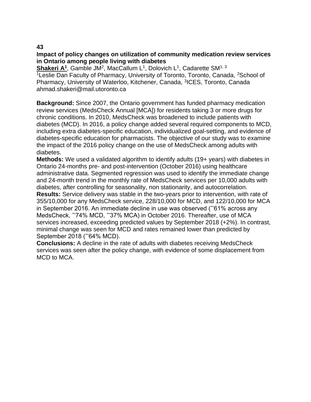**Impact of policy changes on utilization of community medication review services in Ontario among people living with diabetes**

Shakeri A<sup>1</sup>, Gamble JM<sup>2</sup>, MacCallum L<sup>1</sup>, Dolovich L<sup>1</sup>, Cadarette SM<sup>1, 3</sup> <sup>1</sup> Leslie Dan Faculty of Pharmacy, University of Toronto, Toronto, Canada, <sup>2</sup>School of Pharmacy, University of Waterloo, Kitchener, Canada, <sup>3</sup>ICES, Toronto, Canada ahmad.shakeri@mail.utoronto.ca

**Background:** Since 2007, the Ontario government has funded pharmacy medication review services (MedsCheck Annual [MCA]) for residents taking 3 or more drugs for chronic conditions. In 2010, MedsCheck was broadened to include patients with diabetes (MCD). In 2016, a policy change added several required components to MCD, including extra diabetes-specific education, individualized goal-setting, and evidence of diabetes-specific education for pharmacists. The objective of our study was to examine the impact of the 2016 policy change on the use of MedsCheck among adults with diabetes.

**Methods:** We used a validated algorithm to identify adults (19+ years) with diabetes in Ontario 24-months pre- and post-intervention (October 2016) using healthcare administrative data. Segmented regression was used to identify the immediate change and 24-month trend in the monthly rate of MedsCheck services per 10,000 adults with diabetes, after controlling for seasonality, non stationarity, and autocorrelation. **Results:** Service delivery was stable in the two-years prior to intervention, with rate of 355/10,000 for any MedsCheck service, 228/10,000 for MCD, and 122/10,000 for MCA in September 2016. An immediate decline in use was observed (ˆ'61% across any MedsCheck, ˆ'74% MCD, ˆ'37% MCA) in October 2016. Thereafter, use of MCA services increased, exceeding predicted values by September 2018 (+2%). In contrast, minimal change was seen for MCD and rates remained lower than predicted by September 2018 (ˆ'64% MCD).

**Conclusions:** A decline in the rate of adults with diabetes receiving MedsCheck services was seen after the policy change, with evidence of some displacement from MCD to MCA.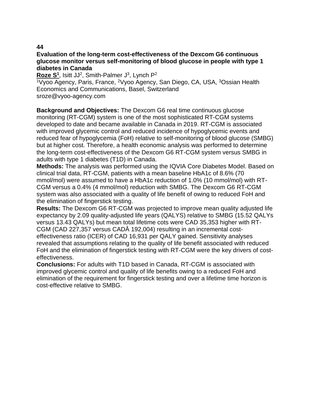#### **Evaluation of the long-term cost-effectiveness of the Dexcom G6 continuous glucose monitor versus self-monitoring of blood glucose in people with type 1 diabetes in Canada**

Roze S<sup>1</sup>, Isitt JJ<sup>2</sup>, Smith-Palmer J<sup>3</sup>, Lynch P<sup>2</sup>

<sup>1</sup>Vyoo Agency, Paris, France, <sup>2</sup>Vyoo Agency, San Diego, CA, USA, <sup>3</sup>Ossian Health Economics and Communications, Basel, Switzerland sroze@vyoo-agency.com

**Background and Objectives:** The Dexcom G6 real time continuous glucose monitoring (RT-CGM) system is one of the most sophisticated RT-CGM systems developed to date and became available in Canada in 2019. RT-CGM is associated with improved glycemic control and reduced incidence of hypoglycemic events and reduced fear of hypoglycemia (FoH) relative to self-monitoring of blood glucose (SMBG) but at higher cost. Therefore, a health economic analysis was performed to determine the long-term cost-effectiveness of the Dexcom G6 RT-CGM system versus SMBG in adults with type 1 diabetes (T1D) in Canada.

**Methods:** The analysis was performed using the IQVIA Core Diabetes Model. Based on clinical trial data, RT-CGM, patients with a mean baseline HbA1c of 8.6% (70 mmol/mol) were assumed to have a HbA1c reduction of 1.0% (10 mmol/mol) with RT-CGM versus a 0.4% (4 mmol/mol) reduction with SMBG. The Dexcom G6 RT-CGM system was also associated with a quality of life benefit of owing to reduced FoH and the elimination of fingerstick testing.

**Results:** The Dexcom G6 RT-CGM was projected to improve mean quality adjusted life expectancy by 2.09 quality-adjusted life years (QALYS) relative to SMBG (15.52 QALYs versus 13.43 QALYs) but mean total lifetime cots were CAD 35,353 higher with RT-CGM (CAD 227,357 versus CADÂ 192,004) resulting in an incremental costeffectiveness ratio (ICER) of CAD 16,931 per QALY gained. Sensitivity analyses revealed that assumptions relating to the quality of life benefit associated with reduced FoH and the elimination of fingerstick testing with RT-CGM were the key drivers of costeffectiveness.

**Conclusions:** For adults with T1D based in Canada, RT-CGM is associated with improved glycemic control and quality of life benefits owing to a reduced FoH and elimination of the requirement for fingerstick testing and over a lifetime time horizon is cost-effective relative to SMBG.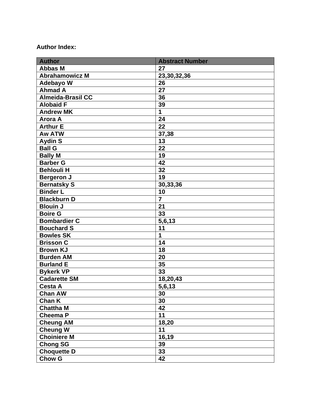# **Author Index:**

| <b>Author</b>            | <b>Abstract Number</b> |
|--------------------------|------------------------|
| <b>Abbas M</b>           | 27                     |
| <b>Abrahamowicz M</b>    | 23,30,32,36            |
| <b>Adebayo W</b>         | 26                     |
| <b>Ahmad A</b>           | $\overline{27}$        |
| <b>Almeida-Brasil CC</b> | 36                     |
| <b>Alobaid F</b>         | 39                     |
| <b>Andrew MK</b>         | 1                      |
| <b>Arora A</b>           | 24                     |
| <b>Arthur E</b>          | 22                     |
| <b>Aw ATW</b>            | 37,38                  |
| <b>Aydin S</b>           | 13                     |
| <b>Ball G</b>            | 22                     |
| <b>Bally M</b>           | 19                     |
| <b>Barber G</b>          | 42                     |
| <b>Behlouli H</b>        | 32                     |
| <b>Bergeron J</b>        | 19                     |
| <b>Bernatsky S</b>       | 30,33,36               |
| <b>Binder L</b>          | 10                     |
| <b>Blackburn D</b>       | $\overline{7}$         |
| <b>Blouin J</b>          | 21                     |
| <b>Boire G</b>           | 33                     |
| <b>Bombardier C</b>      | 5,6,13                 |
| <b>Bouchard S</b>        | 11                     |
| <b>Bowles SK</b>         | 1                      |
| <b>Brisson C</b>         | 14                     |
| <b>Brown KJ</b>          | 18                     |
| <b>Burden AM</b>         | 20                     |
| <b>Burland E</b>         | 35                     |
| <b>Bykerk VP</b>         | 33                     |
| <b>Cadarette SM</b>      | 18,20,43               |
| Cesta A                  | $\overline{5,6,13}$    |
| <b>Chan AW</b>           | 30                     |
| Chan K                   | 30                     |
| <b>Chattha M</b>         | 42                     |
| <b>Cheema P</b>          | 11                     |
| <b>Cheung AM</b>         | 18,20                  |
| <b>Cheung W</b>          | 11                     |
| <b>Choiniere M</b>       | 16,19                  |
| <b>Chong SG</b>          | 39                     |
| <b>Choquette D</b>       | 33                     |
| <b>Chow G</b>            | 42                     |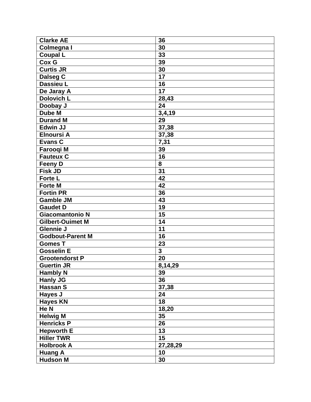| <b>Clarke AE</b>        | 36                      |
|-------------------------|-------------------------|
| Colmegna I              | 30                      |
| <b>Coupal L</b>         | 33                      |
| Cox G                   | 39                      |
| <b>Curtis JR</b>        | 30                      |
| Dalseg C                | 17                      |
| <b>Dassieu L</b>        | 16                      |
| De Jaray A              | 17                      |
| <b>Dolovich L</b>       | 28,43                   |
| Doobay J                | 24                      |
| <b>Dube M</b>           | 3,4,19                  |
| <b>Durand M</b>         | 29                      |
| <b>Edwin JJ</b>         | 37,38                   |
| <b>Elnoursi A</b>       | 37,38                   |
| <b>Evans C</b>          | 7,31                    |
| <b>Farooqi M</b>        | 39                      |
| <b>Fauteux C</b>        | 16                      |
| <b>Feeny D</b>          | 8                       |
| <b>Fisk JD</b>          | $\overline{31}$         |
| Forte L                 | 42                      |
| <b>Forte M</b>          | 42                      |
| <b>Fortin PR</b>        | 36                      |
| <b>Gamble JM</b>        | 43                      |
| <b>Gaudet D</b>         | 19                      |
| <b>Giacomantonio N</b>  | 15                      |
| <b>Gilbert-Ouimet M</b> | 14                      |
| <b>Glennie J</b>        | 11                      |
| <b>Godbout-Parent M</b> | 16                      |
| <b>Gomes T</b>          | 23                      |
| <b>Gosselin E</b>       | $\overline{\mathbf{3}}$ |
| <b>Grootendorst P</b>   | 20                      |
| <b>Guertin JR</b>       | 8,14,29                 |
| <b>Hambly N</b>         | 39                      |
| <b>Hanly JG</b>         | 36                      |
| Hassan S                | 37,38                   |
| Hayes J                 | 24                      |
| <b>Hayes KN</b>         | 18                      |
| He N                    | 18,20                   |
| <b>Helwig M</b>         | 35                      |
| <b>Henricks P</b>       | 26                      |
| <b>Hepworth E</b>       | 13                      |
| <b>Hiller TWR</b>       | 15                      |
| <b>Holbrook A</b>       | 27,28,29                |
| <b>Huang A</b>          | 10                      |
| <b>Hudson M</b>         | 30                      |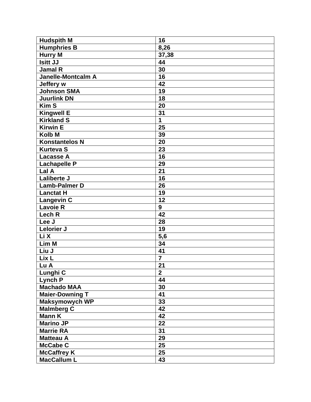| <b>Hudspith M</b>         | 16              |
|---------------------------|-----------------|
| <b>Humphries B</b>        | 8,26            |
| Hurry M                   | 37,38           |
| <b>Isitt JJ</b>           | 44              |
| <b>Jamal R</b>            | 30              |
| <b>Janelle-Montcalm A</b> | 16              |
| Jeffery w                 | 42              |
| Johnson SMA               | 19              |
| <b>Juurlink DN</b>        | 18              |
| <b>Kim S</b>              | 20              |
| <b>Kingwell E</b>         | 31              |
| <b>Kirkland S</b>         | 1               |
| <b>Kirwin E</b>           | 25              |
| <b>Kolb M</b>             | 39              |
| <b>Konstantelos N</b>     | 20              |
| <b>Kurteva S</b>          | 23              |
| <b>Lacasse A</b>          | 16              |
| <b>Lachapelle P</b>       | 29              |
| Lal A                     | 21              |
| <b>Laliberte J</b>        | 16              |
| <b>Lamb-Palmer D</b>      | 26              |
| <b>Lanctat H</b>          | 19              |
| <b>Langevin C</b>         | 12              |
| <b>Lavoie R</b>           | $\overline{9}$  |
| Lech R                    | 42              |
| Lee J                     | 28              |
| Lelorier J                | 19              |
| Li X                      | 5,6             |
| Lim M                     | 34              |
| Liu J                     | 41              |
| Lix L                     | $\overline{7}$  |
| Lu A                      | $\overline{21}$ |
| Lunghi C                  | $\overline{2}$  |
| Lynch P                   | 44              |
| <b>Machado MAA</b>        | 30              |
| <b>Maier-Downing T</b>    | 41              |
| Maksymowych WP            | 33              |
| <b>Malmberg C</b>         | 42              |
| <b>Mann K</b>             | 42              |
| <b>Marino JP</b>          | 22              |
| <b>Marrie RA</b>          | 31              |
| <b>Matteau A</b>          | 29              |
| <b>McCabe C</b>           | 25              |
| <b>McCaffrey K</b>        | 25              |
| <b>MacCallum L</b>        | 43              |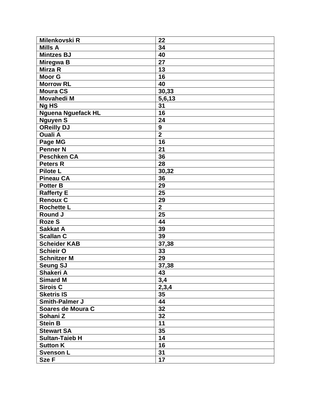| Milenkovski R             | 22              |
|---------------------------|-----------------|
| <b>Mills A</b>            | 34              |
| <b>Mintzes BJ</b>         | 40              |
| <b>Miregwa B</b>          | 27              |
| Mirza R                   | 13              |
| <b>Moor G</b>             | 16              |
| <b>Morrow RL</b>          | 40              |
| <b>Moura CS</b>           | 30,33           |
| <b>Movahedi M</b>         | 5,6,13          |
| Ng HS                     | 31              |
| <b>Nguena Nguefack HL</b> | 16              |
| <b>Nguyen S</b>           | 24              |
| <b>OReilly DJ</b>         | 9               |
| <b>Ouali A</b>            | $\overline{2}$  |
| Page MG                   | 16              |
| <b>Penner N</b>           | 21              |
| <b>Peschken CA</b>        | 36              |
| <b>Peters R</b>           | 28              |
| <b>Pilote L</b>           | 30,32           |
| <b>Pineau CA</b>          | 36              |
| <b>Potter B</b>           | 29              |
| <b>Rafferty E</b>         | 25              |
| <b>Renoux C</b>           | 29              |
| <b>Rochette L</b>         | $\overline{2}$  |
| Round J                   | 25              |
| <b>Roze S</b>             | 44              |
| <b>Sakkat A</b>           | 39              |
| <b>Scallan C</b>          | 39              |
| <b>Scheider KAB</b>       | 37,38           |
| <b>Schieir O</b>          | 33              |
| <b>Schnitzer M</b>        | 29              |
| <b>Seung SJ</b>           | 37,38           |
| Shakeri A                 | 43              |
| <b>Simard M</b>           | 3,4             |
| <b>Sirois C</b>           | 2,3,4           |
| <b>Sketris IS</b>         | 35              |
| Smith-Palmer J            | 44              |
| Soares de Moura C         | 32              |
| Sohani Z                  | 32              |
| <b>Stein B</b>            | $\overline{11}$ |
| <b>Stewart SA</b>         | 35              |
| <b>Sultan-Taieb H</b>     | 14              |
| <b>Sutton K</b>           | 16              |
| <b>Svenson L</b>          | 31              |
| Sze F                     | 17              |